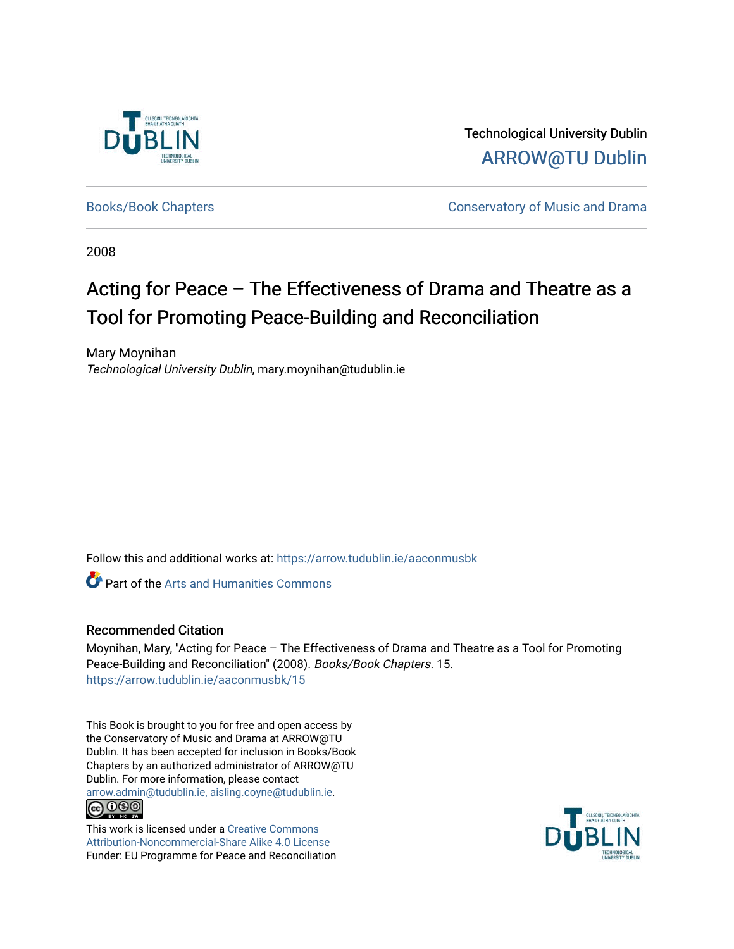

Technological University Dublin [ARROW@TU Dublin](https://arrow.tudublin.ie/) 

[Books/Book Chapters](https://arrow.tudublin.ie/aaconmusbk) **Conservatory of Music and Drama** 

2008

### Acting for Peace – The Effectiveness of Drama and Theatre as a Tool for Promoting Peace-Building and Reconciliation

Mary Moynihan Technological University Dublin, mary.moynihan@tudublin.ie

Follow this and additional works at: [https://arrow.tudublin.ie/aaconmusbk](https://arrow.tudublin.ie/aaconmusbk?utm_source=arrow.tudublin.ie%2Faaconmusbk%2F15&utm_medium=PDF&utm_campaign=PDFCoverPages)

**Part of the Arts and Humanities Commons** 

#### Recommended Citation

Moynihan, Mary, "Acting for Peace – The Effectiveness of Drama and Theatre as a Tool for Promoting Peace-Building and Reconciliation" (2008). Books/Book Chapters. 15. [https://arrow.tudublin.ie/aaconmusbk/15](https://arrow.tudublin.ie/aaconmusbk/15?utm_source=arrow.tudublin.ie%2Faaconmusbk%2F15&utm_medium=PDF&utm_campaign=PDFCoverPages) 

This Book is brought to you for free and open access by the Conservatory of Music and Drama at ARROW@TU Dublin. It has been accepted for inclusion in Books/Book Chapters by an authorized administrator of ARROW@TU Dublin. For more information, please contact [arrow.admin@tudublin.ie, aisling.coyne@tudublin.ie](mailto:arrow.admin@tudublin.ie,%20aisling.coyne@tudublin.ie).  $\bigcirc$  000

This work is licensed under a [Creative Commons](http://creativecommons.org/licenses/by-nc-sa/4.0/) [Attribution-Noncommercial-Share Alike 4.0 License](http://creativecommons.org/licenses/by-nc-sa/4.0/) Funder: EU Programme for Peace and Reconciliation

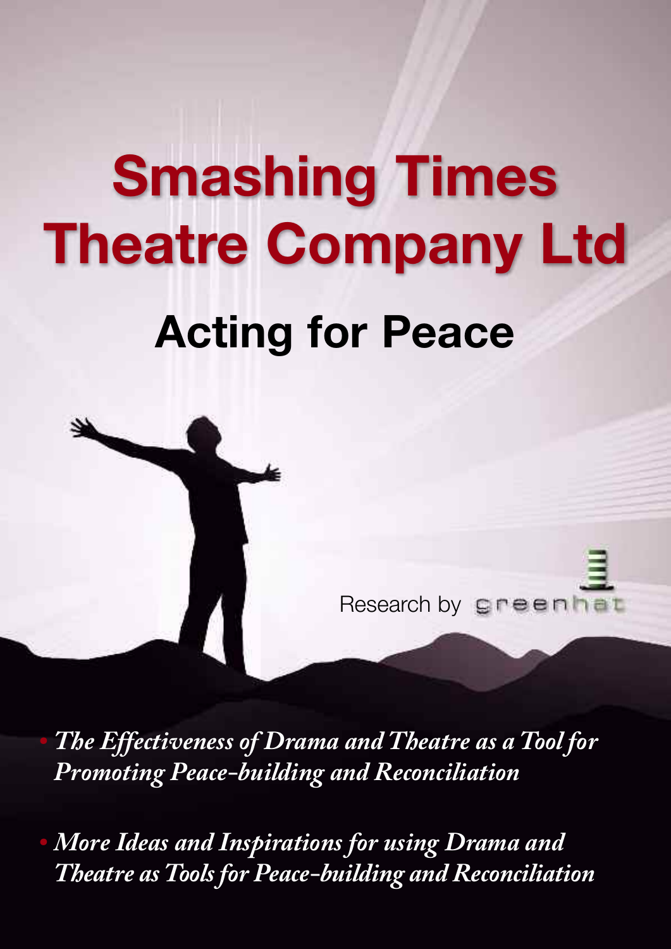# **Smashing Times Theatre Company Ltd Acting for Peace**



*• The Effectiveness of Drama and Theatre as a Tool for Promoting Peace-building and Reconciliation*

*• More Ideas and Inspirations for using Drama and Theatre asTools for Peace-building and Reconciliation*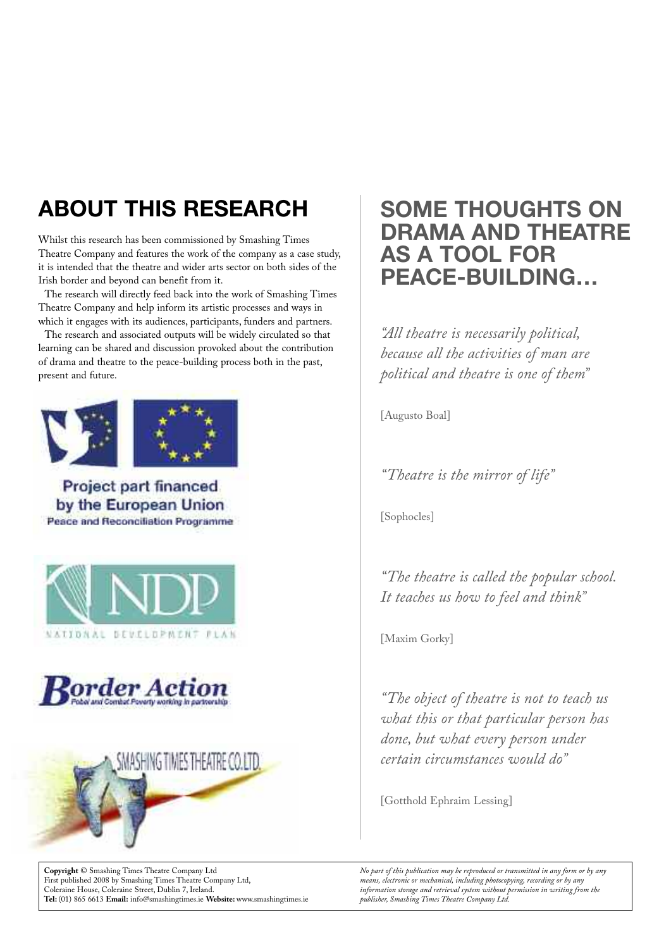### **ABOUT THIS RESEARCH**

Whilst this research has been commissioned by Smashing Times Theatre Company and features the work of the company as a case study, it is intended that the theatre and wider arts sector on both sides of the Irish border and beyond can benefit from it.

The research will directly feed back into the work of Smashing Times Theatre Company and help inform its artistic processes and ways in which it engages with its audiences, participants, funders and partners.

The research and associated outputs will be widely circulated so that learning can be shared and discussion provoked about the contribution of drama and theatre to the peace-building process both in the past, present and future.



Project part financed by the European Union Peace and Reconciliation Programme







**Copyright** © Smashing Times Theatre Company Ltd First published 2008 by Smashing Times Theatre Company Ltd, Coleraine House, Coleraine Street, Dublin 7, Ireland. **Tel:** (01) 865 6613 **Email:** info@smashingtimes.ie **Website:** www.smashingtimes.ie

### **SOME THOUGHTS ON DRAMA AND THEATRE AS A TOOL FOR PEACE-BUILDING…**

*"All theatre is necessarily political, because all the activities of man are political and theatre is one of them"*

[Augusto Boal]

*"Theatre is the mirror of life"*

[Sophocles]

*"The theatre is called the popular school. It teaches us how to feel and think"*

[Maxim Gorky]

*"The object of theatre is not to teach us what this or that particular person has done, but what every person under certain circumstances would do"*

[Gotthold Ephraim Lessing]

*No part of this publication may be reproduced or transmitted in any form or by any means, electronic or mechanical, including photocopying, recording or by any information storage and retrieval system without permission in writing from the publisher, Smashing Times Theatre Company Ltd.*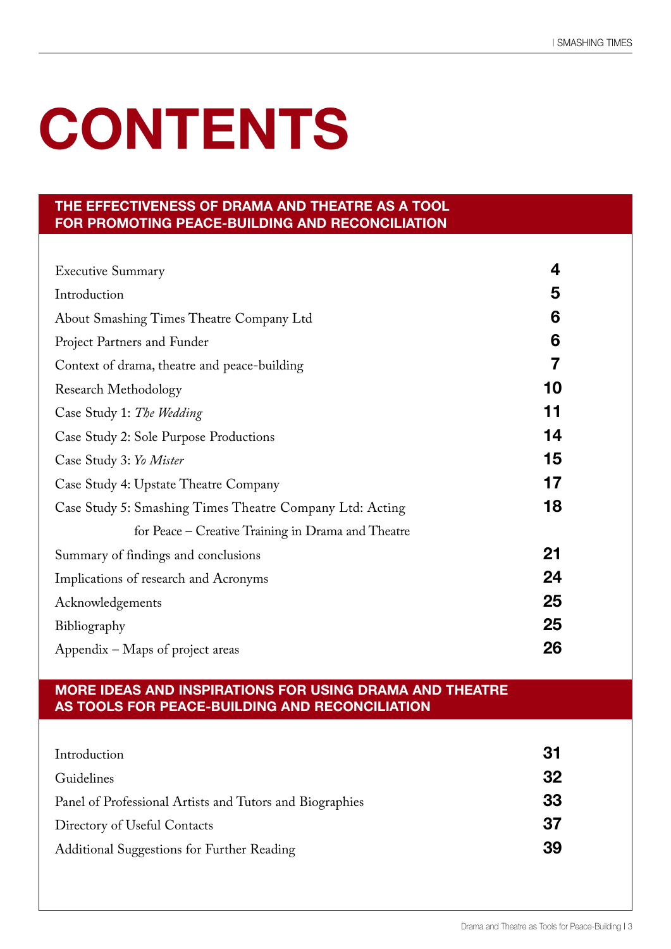# **CONTENTS**

#### **THE EFFECTIVENESS OF DRAMA AND THEATRE AS A TOOL FOR PROMOTING PEACE-BUILDING AND RECONCILIATION**

| <b>Executive Summary</b>                                 | 4  |
|----------------------------------------------------------|----|
| Introduction                                             | 5  |
| About Smashing Times Theatre Company Ltd                 | 6  |
| Project Partners and Funder                              | 6  |
| Context of drama, theatre and peace-building             | 7  |
| <b>Research Methodology</b>                              | 10 |
| Case Study 1: The Wedding                                | 11 |
| Case Study 2: Sole Purpose Productions                   | 14 |
| Case Study 3: Yo Mister                                  | 15 |
| Case Study 4: Upstate Theatre Company                    | 17 |
| Case Study 5: Smashing Times Theatre Company Ltd: Acting | 18 |
| for Peace – Creative Training in Drama and Theatre       |    |
| Summary of findings and conclusions                      | 21 |
| Implications of research and Acronyms                    | 24 |
| Acknowledgements                                         | 25 |
| Bibliography                                             | 25 |
| Appendix – Maps of project areas                         | 26 |

#### **MORE IDEAS AND INSPIRATIONS FOR USING DRAMA AND THEATRE AS TOOLS FOR PEACE-BUILDING AND RECONCILIATION**

| Introduction                                             | 31 |
|----------------------------------------------------------|----|
| Guidelines                                               | 32 |
| Panel of Professional Artists and Tutors and Biographies | 33 |
| Directory of Useful Contacts                             | 37 |
| Additional Suggestions for Further Reading               |    |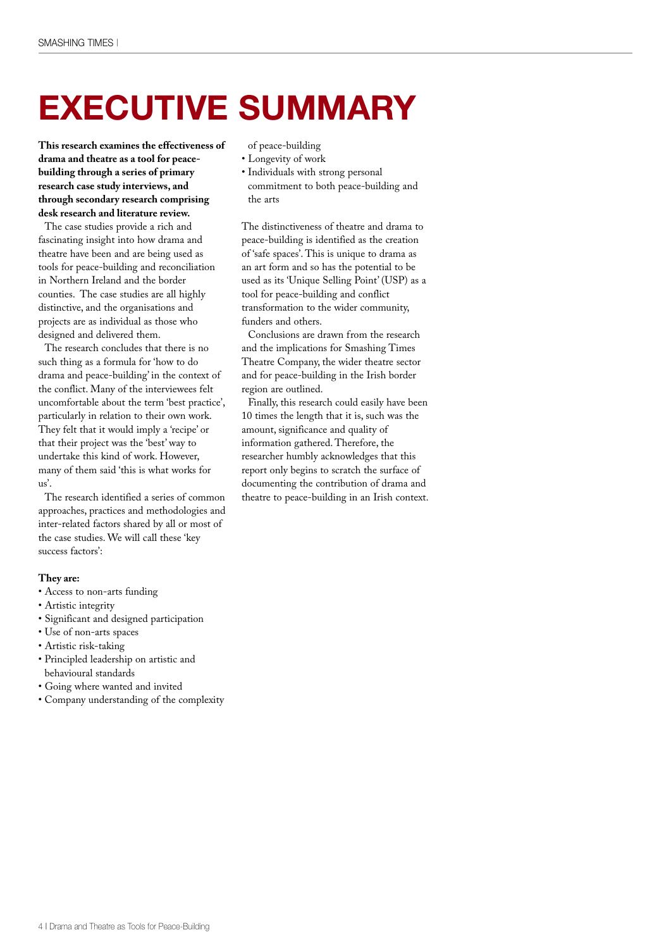### **EXECUTIVE SUMMARY**

**This research examines the effectiveness of drama and theatre as a tool for peacebuilding through a series of primary research case study interviews, and through secondary research comprising desk research and literature review.**

The case studies provide a rich and fascinating insight into how drama and theatre have been and are being used as tools for peace-building and reconciliation in Northern Ireland and the border counties. The case studies are all highly distinctive, and the organisations and projects are as individual as those who designed and delivered them.

The research concludes that there is no such thing as a formula for 'how to do drama and peace-building' in the context of the conflict. Many of the interviewees felt uncomfortable about the term 'best practice', particularly in relation to their own work. They felt that it would imply a 'recipe' or that their project was the 'best' way to undertake this kind of work. However, many of them said 'this is what works for us'.

The research identified a series of common approaches, practices and methodologies and inter-related factors shared by all or most of the case studies. We will call these 'key success factors':

#### **They are:**

- Access to non-arts funding
- Artistic integrity
- Significant and designed participation
- Use of non-arts spaces
- Artistic risk-taking
- Principled leadership on artistic and behavioural standards
- Going where wanted and invited
- Company understanding of the complexity

of peace-building

- Longevity of work
- Individuals with strong personal commitment to both peace-building and the arts

The distinctiveness of theatre and drama to peace-building is identified as the creation of 'safe spaces'. This is unique to drama as an art form and so has the potential to be used as its 'Unique Selling Point' (USP) as a tool for peace-building and conflict transformation to the wider community, funders and others.

Conclusions are drawn from the research and the implications for Smashing Times Theatre Company, the wider theatre sector and for peace-building in the Irish border region are outlined.

Finally, this research could easily have been 10 times the length that it is, such was the amount, significance and quality of information gathered. Therefore, the researcher humbly acknowledges that this report only begins to scratch the surface of documenting the contribution of drama and theatre to peace-building in an Irish context.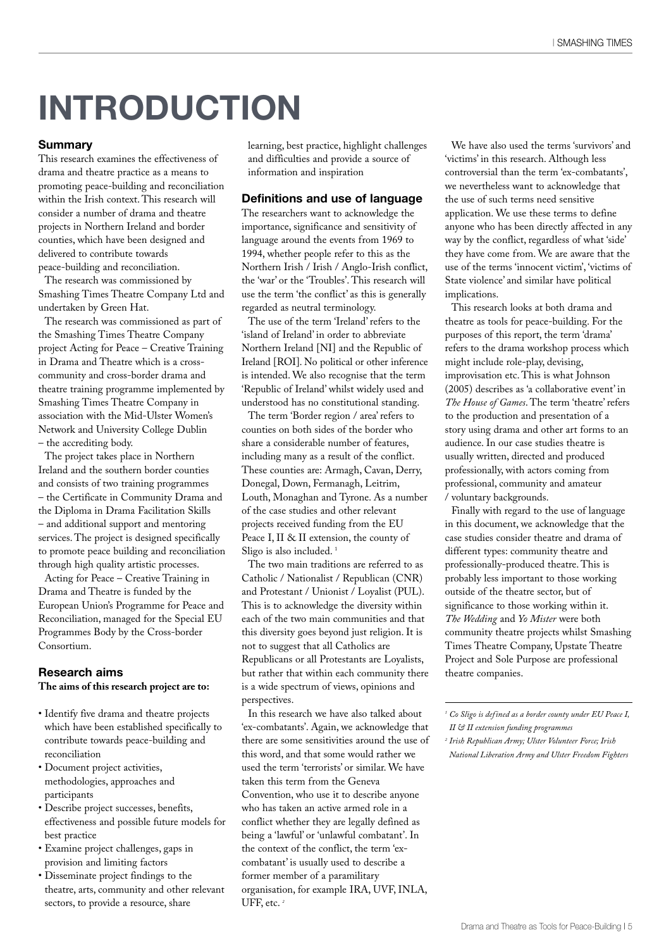### **INTRODUCTION**

#### **Summary**

This research examines the effectiveness of drama and theatre practice as a means to promoting peace-building and reconciliation within the Irish context. This research will consider a number of drama and theatre projects in Northern Ireland and border counties, which have been designed and delivered to contribute towards peace-building and reconciliation.

The research was commissioned by Smashing Times Theatre Company Ltd and undertaken by Green Hat.

The research was commissioned as part of the Smashing Times Theatre Company project Acting for Peace – Creative Training in Drama and Theatre which is a crosscommunity and cross-border drama and theatre training programme implemented by Smashing Times Theatre Company in association with the Mid-Ulster Women's Network and University College Dublin – the accrediting body.

The project takes place in Northern Ireland and the southern border counties and consists of two training programmes – the Certificate in Community Drama and the Diploma in Drama Facilitation Skills – and additional support and mentoring services. The project is designed specifically to promote peace building and reconciliation through high quality artistic processes.

Acting for Peace – Creative Training in Drama and Theatre is funded by the European Union's Programme for Peace and Reconciliation, managed for the Special EU Programmes Body by the Cross-border Consortium.

#### **Research aims**

#### **The aims of this research project are to:**

- Identify five drama and theatre projects which have been established specifically to contribute towards peace-building and reconciliation
- Document project activities, methodologies, approaches and participants
- Describe project successes, benefits, effectiveness and possible future models for best practice
- Examine project challenges, gaps in provision and limiting factors
- Disseminate project findings to the theatre, arts, community and other relevant sectors, to provide a resource, share

learning, best practice, highlight challenges and difficulties and provide a source of information and inspiration

#### **Definitions and use of language**

The researchers want to acknowledge the importance, significance and sensitivity of language around the events from 1969 to 1994, whether people refer to this as the Northern Irish / Irish / Anglo-Irish conflict, the 'war' or the 'Troubles'. This research will use the term 'the conflict' as this is generally regarded as neutral terminology.

The use of the term 'Ireland' refers to the 'island of Ireland' in order to abbreviate Northern Ireland [NI] and the Republic of Ireland [ROI]. No political or other inference is intended. We also recognise that the term 'Republic of Ireland' whilst widely used and understood has no constitutional standing.

The term 'Border region / area' refers to counties on both sides of the border who share a considerable number of features, including many as a result of the conflict. These counties are: Armagh, Cavan, Derry, Donegal, Down, Fermanagh, Leitrim, Louth, Monaghan and Tyrone. As a number of the case studies and other relevant projects received funding from the EU Peace I, II & II extension, the county of Sligo is also included.<sup>1</sup>

The two main traditions are referred to as Catholic / Nationalist / Republican (CNR) and Protestant / Unionist / Loyalist (PUL). This is to acknowledge the diversity within each of the two main communities and that this diversity goes beyond just religion. It is not to suggest that all Catholics are Republicans or all Protestants are Loyalists, but rather that within each community there is a wide spectrum of views, opinions and perspectives.

In this research we have also talked about 'ex-combatants'. Again, we acknowledge that there are some sensitivities around the use of this word, and that some would rather we used the term 'terrorists' or similar. We have taken this term from the Geneva Convention, who use it to describe anyone who has taken an active armed role in a conflict whether they are legally defined as being a 'lawful' or 'unlawful combatant'. In the context of the conflict, the term 'excombatant' is usually used to describe a former member of a paramilitary organisation, for example IRA, UVF, INLA, UFF, etc. *<sup>2</sup>*

We have also used the terms 'survivors' and 'victims' in this research. Although less controversial than the term 'ex-combatants', we nevertheless want to acknowledge that the use of such terms need sensitive application. We use these terms to define anyone who has been directly affected in any way by the conflict, regardless of what 'side' they have come from. We are aware that the use of the terms 'innocent victim', 'victims of State violence' and similar have political implications.

This research looks at both drama and theatre as tools for peace-building. For the purposes of this report, the term 'drama' refers to the drama workshop process which might include role-play, devising, improvisation etc. This is what Johnson (2005) describes as 'a collaborative event' in *The House of Games*. The term 'theatre' refers to the production and presentation of a story using drama and other art forms to an audience. In our case studies theatre is usually written, directed and produced professionally, with actors coming from professional, community and amateur / voluntary backgrounds.

Finally with regard to the use of language in this document, we acknowledge that the case studies consider theatre and drama of different types: community theatre and professionally-produced theatre. This is probably less important to those working outside of the theatre sector, but of significance to those working within it. *The Wedding* and *Yo Mister* were both community theatre projects whilst Smashing Times Theatre Company, Upstate Theatre Project and Sole Purpose are professional theatre companies.

*<sup>1</sup> Co Sligo is defined as a border county under EU Peace I, II & II extension funding programmes <sup>2</sup> Irish Republican Army; Ulster Volunteer Force; Irish National Liberation Army and Ulster Freedom Fighters*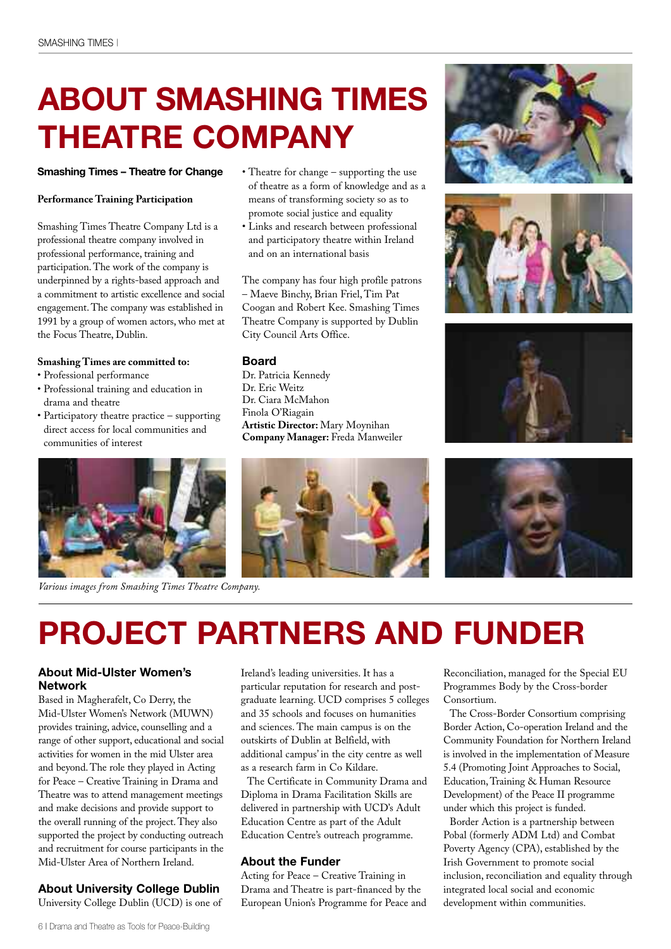### **ABOUT SMASHING TIMES THEATRE COMPANY**

#### **Smashing Times – Theatre for Change**

#### **Performance Training Participation**

Smashing Times Theatre Company Ltd is a professional theatre company involved in professional performance, training and participation. The work of the company is underpinned by a rights-based approach and a commitment to artistic excellence and social engagement. The company was established in 1991 by a group of women actors, who met at the Focus Theatre, Dublin.

#### **Smashing Times are committed to:**

- Professional performance
- Professional training and education in drama and theatre
- Participatory theatre practice supporting direct access for local communities and communities of interest



*Various images from Smashing Times Theatre Company.*

- Theatre for change supporting the use of theatre as a form of knowledge and as a means of transforming society so as to promote social justice and equality
- Links and research between professional and participatory theatre within Ireland and on an international basis

The company has four high profile patrons – Maeve Binchy, Brian Friel, Tim Pat Coogan and Robert Kee. Smashing Times Theatre Company is supported by Dublin City Council Arts Office.

#### **Board**

Dr. Patricia Kennedy Dr. Eric Weitz Dr. Ciara McMahon Finola O'Riagain **Artistic Director:** Mary Moynihan **Company Manager:** Freda Manweiler









### **PROJECT PARTNERS AND FUNDER**

#### **About Mid-Ulster Women's Network**

Based in Magherafelt, Co Derry, the Mid-Ulster Women's Network (MUWN) provides training, advice, counselling and a range of other support, educational and social activities for women in the mid Ulster area and beyond. The role they played in Acting for Peace – Creative Training in Drama and Theatre was to attend management meetings and make decisions and provide support to the overall running of the project. They also supported the project by conducting outreach and recruitment for course participants in the Mid-Ulster Area of Northern Ireland.

#### **About University College Dublin**

University College Dublin (UCD) is one of

Ireland's leading universities. It has a particular reputation for research and postgraduate learning. UCD comprises 5 colleges and 35 schools and focuses on humanities and sciences. The main campus is on the outskirts of Dublin at Belfield, with additional campus' in the city centre as well as a research farm in Co Kildare.

The Certificate in Community Drama and Diploma in Drama Facilitation Skills are delivered in partnership with UCD's Adult Education Centre as part of the Adult Education Centre's outreach programme.

#### **About the Funder**

Acting for Peace – Creative Training in Drama and Theatre is part-financed by the European Union's Programme for Peace and Reconciliation, managed for the Special EU Programmes Body by the Cross-border Consortium.

The Cross-Border Consortium comprising Border Action, Co-operation Ireland and the Community Foundation for Northern Ireland is involved in the implementation of Measure 5.4 (Promoting Joint Approaches to Social, Education, Training & Human Resource Development) of the Peace II programme under which this project is funded.

Border Action is a partnership between Pobal (formerly ADM Ltd) and Combat Poverty Agency (CPA), established by the Irish Government to promote social inclusion, reconciliation and equality through integrated local social and economic development within communities.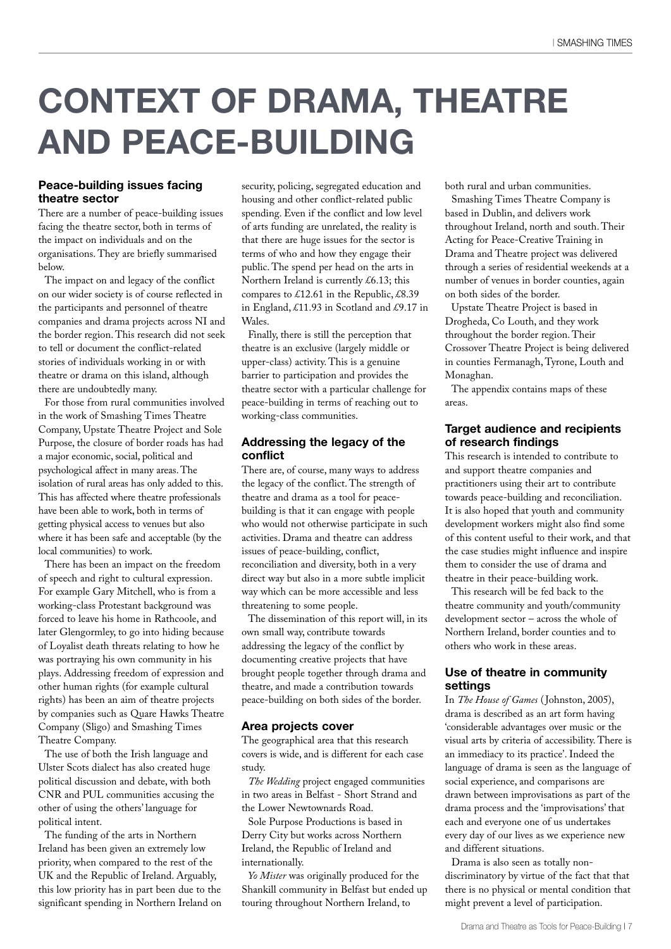### **CONTEXT OF DRAMA, THEATRE AND PEACE-BUILDING**

#### **Peace-building issues facing theatre sector**

There are a number of peace-building issues facing the theatre sector, both in terms of the impact on individuals and on the organisations. They are briefly summarised below.

The impact on and legacy of the conflict on our wider society is of course reflected in the participants and personnel of theatre companies and drama projects across NI and the border region. This research did not seek to tell or document the conflict-related stories of individuals working in or with theatre or drama on this island, although there are undoubtedly many.

For those from rural communities involved in the work of Smashing Times Theatre Company, Upstate Theatre Project and Sole Purpose, the closure of border roads has had a major economic, social, political and psychological affect in many areas. The isolation of rural areas has only added to this. This has affected where theatre professionals have been able to work, both in terms of getting physical access to venues but also where it has been safe and acceptable (by the local communities) to work.

There has been an impact on the freedom of speech and right to cultural expression. For example Gary Mitchell, who is from a working-class Protestant background was forced to leave his home in Rathcoole, and later Glengormley, to go into hiding because of Loyalist death threats relating to how he was portraying his own community in his plays. Addressing freedom of expression and other human rights (for example cultural rights) has been an aim of theatre projects by companies such as Quare Hawks Theatre Company (Sligo) and Smashing Times Theatre Company.

The use of both the Irish language and Ulster Scots dialect has also created huge political discussion and debate, with both CNR and PUL communities accusing the other of using the others' language for political intent.

The funding of the arts in Northern Ireland has been given an extremely low priority, when compared to the rest of the UK and the Republic of Ireland. Arguably, this low priority has in part been due to the significant spending in Northern Ireland on security, policing, segregated education and housing and other conflict-related public spending. Even if the conflict and low level of arts funding are unrelated, the reality is that there are huge issues for the sector is terms of who and how they engage their public. The spend per head on the arts in Northern Ireland is currently £6.13; this compares to £12.61 in the Republic, £8.39 in England, £11.93 in Scotland and £9.17 in Wales.

Finally, there is still the perception that theatre is an exclusive (largely middle or upper-class) activity. This is a genuine barrier to participation and provides the theatre sector with a particular challenge for peace-building in terms of reaching out to working-class communities.

#### **Addressing the legacy of the conflict**

There are, of course, many ways to address the legacy of the conflict. The strength of theatre and drama as a tool for peacebuilding is that it can engage with people who would not otherwise participate in such activities. Drama and theatre can address issues of peace-building, conflict, reconciliation and diversity, both in a very direct way but also in a more subtle implicit way which can be more accessible and less threatening to some people.

The dissemination of this report will, in its own small way, contribute towards addressing the legacy of the conflict by documenting creative projects that have brought people together through drama and theatre, and made a contribution towards peace-building on both sides of the border.

#### **Area projects cover**

The geographical area that this research covers is wide, and is different for each case study.

*The Wedding* project engaged communities in two areas in Belfast - Short Strand and the Lower Newtownards Road.

Sole Purpose Productions is based in Derry City but works across Northern Ireland, the Republic of Ireland and internationally.

*Yo Mister* was originally produced for the Shankill community in Belfast but ended up touring throughout Northern Ireland, to

both rural and urban communities.

Smashing Times Theatre Company is based in Dublin, and delivers work throughout Ireland, north and south. Their Acting for Peace-Creative Training in Drama and Theatre project was delivered through a series of residential weekends at a number of venues in border counties, again on both sides of the border.

Upstate Theatre Project is based in Drogheda, Co Louth, and they work throughout the border region. Their Crossover Theatre Project is being delivered in counties Fermanagh, Tyrone, Louth and Monaghan.

The appendix contains maps of these areas.

#### **Target audience and recipients of research findings**

This research is intended to contribute to and support theatre companies and practitioners using their art to contribute towards peace-building and reconciliation. It is also hoped that youth and community development workers might also find some of this content useful to their work, and that the case studies might influence and inspire them to consider the use of drama and theatre in their peace-building work.

This research will be fed back to the theatre community and youth/community development sector – across the whole of Northern Ireland, border counties and to others who work in these areas.

#### **Use of theatre in community settings**

In *The House of Games* (Johnston, 2005), drama is described as an art form having 'considerable advantages over music or the visual arts by criteria of accessibility. There is an immediacy to its practice'. Indeed the language of drama is seen as the language of social experience, and comparisons are drawn between improvisations as part of the drama process and the 'improvisations' that each and everyone one of us undertakes every day of our lives as we experience new and different situations.

Drama is also seen as totally nondiscriminatory by virtue of the fact that that there is no physical or mental condition that might prevent a level of participation.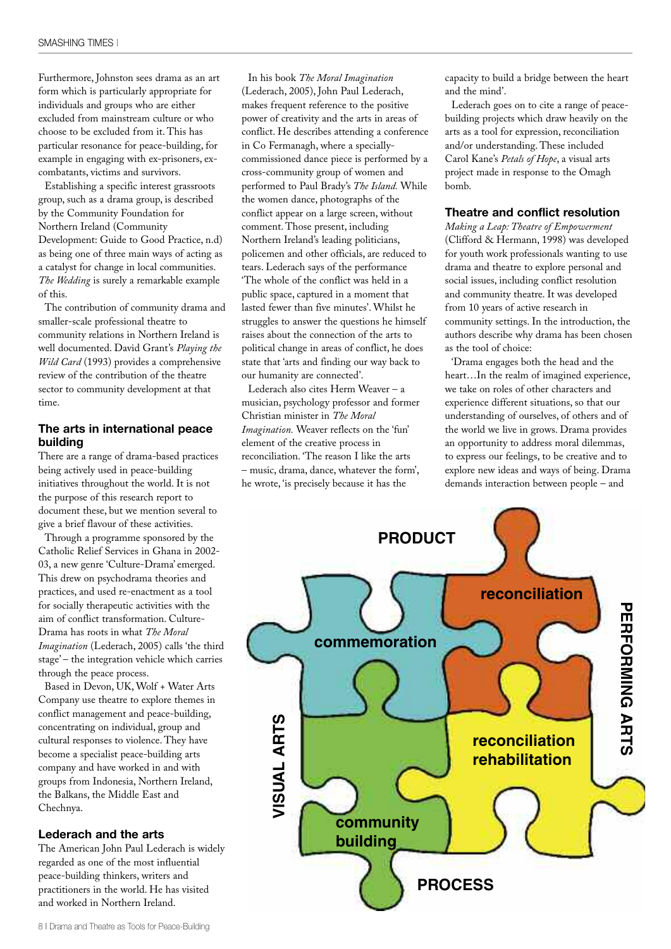Furthermore, Johnston sees drama as an art form which is particularly appropriate for individuals and groups who are either excluded from mainstream culture or who choose to be excluded from it. This has particular resonance for peace-building, for example in engaging with ex-prisoners, excombatants, victims and survivors.

Establishing a specific interest grassroots group, such as a drama group, is described by the Community Foundation for Northern Ireland (Community Development: Guide to Good Practice, n.d) as being one of three main ways of acting as a catalyst for change in local communities. *The Wedding* is surely a remarkable example of this.

The contribution of community drama and smaller-scale professional theatre to community relations in Northern Ireland is well documented. David Grant's *Playing the Wild Card* (1993) provides a comprehensive review of the contribution of the theatre sector to community development at that time.

#### **The arts in international peace building**

There are a range of drama-based practices being actively used in peace-building initiatives throughout the world. It is not the purpose of this research report to document these, but we mention several to give a brief flavour of these activities.

Through a programme sponsored by the Catholic Relief Services in Ghana in 2002- 03, a new genre 'Culture-Drama' emerged. This drew on psychodrama theories and practices, and used re-enactment as a tool for socially therapeutic activities with the aim of conflict transformation. Culture-Drama has roots in what *The Moral Imagination* (Lederach, 2005) calls 'the third stage' – the integration vehicle which carries through the peace process.

Based in Devon, UK, Wolf + Water Arts Company use theatre to explore themes in conflict management and peace-building, concentrating on individual, group and cultural responses to violence. They have become a specialist peace-building arts company and have worked in and with groups from Indonesia, Northern Ireland, the Balkans, the Middle East and Chechnya.

#### **Lederach and the arts**

The American John Paul Lederach is widely regarded as one of the most influential peace-building thinkers, writers and practitioners in the world. He has visited and worked in Northern Ireland.

In his book *The Moral Imagination* (Lederach, 2005), John Paul Lederach, makes frequent reference to the positive power of creativity and the arts in areas of conflict. He describes attending a conference in Co Fermanagh, where a speciallycommissioned dance piece is performed by a cross-community group of women and performed to Paul Brady's *The Island.* While the women dance, photographs of the conflict appear on a large screen, without comment. Those present, including Northern Ireland's leading politicians, policemen and other officials, are reduced to tears. Lederach says of the performance 'The whole of the conflict was held in a public space, captured in a moment that lasted fewer than five minutes'. Whilst he struggles to answer the questions he himself raises about the connection of the arts to political change in areas of conflict, he does state that 'arts and finding our way back to our humanity are connected'.

Lederach also cites Herm Weaver – a musician, psychology professor and former Christian minister in *The Moral Imagination.* Weaver reflects on the 'fun' element of the creative process in reconciliation. 'The reason I like the arts – music, drama, dance, whatever the form', he wrote, 'is precisely because it has the

capacity to build a bridge between the heart and the mind'.

Lederach goes on to cite a range of peacebuilding projects which draw heavily on the arts as a tool for expression, reconciliation and/or understanding. These included Carol Kane's *Petals of Hope*, a visual arts project made in response to the Omagh bomb.

#### **Theatre and conflict resolution**

*Making a Leap: Theatre of Empowerment* (Clifford & Hermann, 1998) was developed for youth work professionals wanting to use drama and theatre to explore personal and social issues, including conflict resolution and community theatre. It was developed from 10 years of active research in community settings. In the introduction, the authors describe why drama has been chosen as the tool of choice:

'Drama engages both the head and the heart…In the realm of imagined experience, we take on roles of other characters and experience different situations, so that our understanding of ourselves, of others and of the world we live in grows. Drama provides an opportunity to address moral dilemmas, to express our feelings, to be creative and to explore new ideas and ways of being. Drama demands interaction between people – and

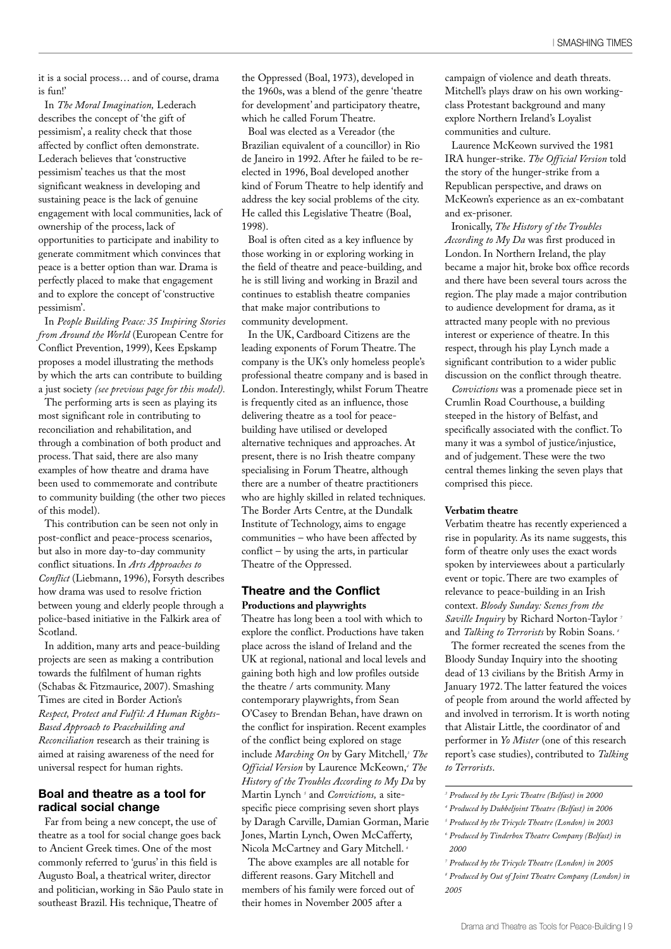it is a social process… and of course, drama is fun!'

In *The Moral Imagination,* Lederach describes the concept of 'the gift of pessimism', a reality check that those affected by conflict often demonstrate. Lederach believes that 'constructive pessimism' teaches us that the most significant weakness in developing and sustaining peace is the lack of genuine engagement with local communities, lack of ownership of the process, lack of opportunities to participate and inability to generate commitment which convinces that peace is a better option than war. Drama is perfectly placed to make that engagement and to explore the concept of 'constructive pessimism'.

In *People Building Peace: 35 Inspiring Stories from Around the World* (European Centre for Conflict Prevention, 1999), Kees Epskamp proposes a model illustrating the methods by which the arts can contribute to building a just society *(see previous page for this model).*

The performing arts is seen as playing its most significant role in contributing to reconciliation and rehabilitation, and through a combination of both product and process. That said, there are also many examples of how theatre and drama have been used to commemorate and contribute to community building (the other two pieces of this model).

This contribution can be seen not only in post-conflict and peace-process scenarios, but also in more day-to-day community conflict situations. In *Arts Approaches to Conflict* (Liebmann, 1996), Forsyth describes how drama was used to resolve friction between young and elderly people through a police-based initiative in the Falkirk area of Scotland.

In addition, many arts and peace-building projects are seen as making a contribution towards the fulfilment of human rights (Schabas & Fitzmaurice, 2007). Smashing Times are cited in Border Action's *Respect, Protect and Fulfil: A Human Rights-Based Approach to Peacebuilding and Reconciliation* research as their training is aimed at raising awareness of the need for universal respect for human rights.

#### **Boal and theatre as a tool for radical social change**

Far from being a new concept, the use of theatre as a tool for social change goes back to Ancient Greek times. One of the most commonly referred to 'gurus' in this field is Augusto Boal, a theatrical writer, director and politician, working in São Paulo state in southeast Brazil. His technique, Theatre of

the Oppressed (Boal, 1973), developed in the 1960s, was a blend of the genre 'theatre for development' and participatory theatre, which he called Forum Theatre.

Boal was elected as a Vereador (the Brazilian equivalent of a councillor) in Rio de Janeiro in 1992. After he failed to be reelected in 1996, Boal developed another kind of Forum Theatre to help identify and address the key social problems of the city. He called this Legislative Theatre (Boal, 1998).

Boal is often cited as a key influence by those working in or exploring working in the field of theatre and peace-building, and he is still living and working in Brazil and continues to establish theatre companies that make major contributions to community development.

In the UK, Cardboard Citizens are the leading exponents of Forum Theatre. The company is the UK's only homeless people's professional theatre company and is based in London. Interestingly, whilst Forum Theatre is frequently cited as an influence, those delivering theatre as a tool for peacebuilding have utilised or developed alternative techniques and approaches. At present, there is no Irish theatre company specialising in Forum Theatre, although there are a number of theatre practitioners who are highly skilled in related techniques. The Border Arts Centre, at the Dundalk Institute of Technology, aims to engage communities – who have been affected by conflict – by using the arts, in particular Theatre of the Oppressed.

#### **Theatre and the Conflict Productions and playwrights**

Theatre has long been a tool with which to explore the conflict. Productions have taken place across the island of Ireland and the UK at regional, national and local levels and gaining both high and low profiles outside the theatre / arts community. Many contemporary playwrights, from Sean O'Casey to Brendan Behan, have drawn on the conflict for inspiration. Recent examples of the conflict being explored on stage include *Marching On* by Gary Mitchell, *<sup>3</sup> The Official Version* by Laurence McKeown, *<sup>4</sup> The History of the Troubles According to My Da* by Martin Lynch *<sup>5</sup>* and *Convictions,* a sitespecific piece comprising seven short plays by Daragh Carville, Damian Gorman, Marie Jones, Martin Lynch, Owen McCafferty, Nicola McCartney and Gary Mitchell. *<sup>6</sup>*

The above examples are all notable for different reasons. Gary Mitchell and members of his family were forced out of their homes in November 2005 after a

campaign of violence and death threats. Mitchell's plays draw on his own workingclass Protestant background and many explore Northern Ireland's Loyalist communities and culture.

Laurence McKeown survived the 1981 IRA hunger-strike. *The Official Version* told the story of the hunger-strike from a Republican perspective, and draws on McKeown's experience as an ex-combatant and ex-prisoner.

Ironically, *The History of the Troubles According to My Da* was first produced in London. In Northern Ireland, the play became a major hit, broke box office records and there have been several tours across the region. The play made a major contribution to audience development for drama, as it attracted many people with no previous interest or experience of theatre. In this respect, through his play Lynch made a significant contribution to a wider public discussion on the conflict through theatre.

*Convictions* was a promenade piece set in Crumlin Road Courthouse, a building steeped in the history of Belfast, and specifically associated with the conflict. To many it was a symbol of justice/injustice, and of judgement. These were the two central themes linking the seven plays that comprised this piece.

#### **Verbatim theatre**

Verbatim theatre has recently experienced a rise in popularity. As its name suggests, this form of theatre only uses the exact words spoken by interviewees about a particularly event or topic. There are two examples of relevance to peace-building in an Irish context. *Bloody Sunday: Scenes from the Saville Inquiry* by Richard Norton-Taylor *<sup>7</sup>* and *Talking to Terrorists* by Robin Soans. *<sup>8</sup>*

The former recreated the scenes from the Bloody Sunday Inquiry into the shooting dead of 13 civilians by the British Army in January 1972. The latter featured the voices of people from around the world affected by and involved in terrorism. It is worth noting that Alistair Little, the coordinator of and performer in *Yo Mister* (one of this research report's case studies), contributed to *Talking to Terrorists*.

 *Produced by the Lyric Theatre (Belfast) in 2000 Produced by Dubbeljoint Theatre (Belfast) in 2006 Produced by the Tricycle Theatre (London) in 2003 Produced by Tinderbox Theatre Company (Belfast) in 2000*

*<sup>7</sup> Produced by the Tricycle Theatre (London) in 2005 <sup>8</sup> Produced by Out of Joint Theatre Company (London) in 2005*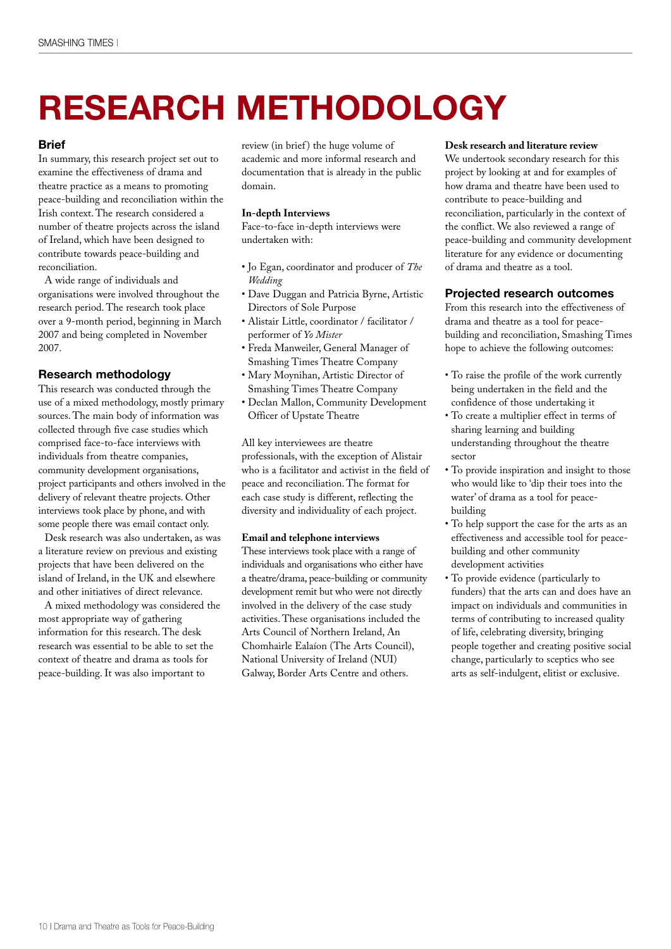# **RESEARCH METHODOLOGY**

#### **Brief**

In summary, this research project set out to examine the effectiveness of drama and theatre practice as a means to promoting peace-building and reconciliation within the Irish context. The research considered a number of theatre projects across the island of Ireland, which have been designed to contribute towards peace-building and reconciliation.

A wide range of individuals and organisations were involved throughout the research period. The research took place over a 9-month period, beginning in March 2007 and being completed in November 2007.

#### **Research methodology**

This research was conducted through the use of a mixed methodology, mostly primary sources. The main body of information was collected through five case studies which comprised face-to-face interviews with individuals from theatre companies, community development organisations, project participants and others involved in the delivery of relevant theatre projects. Other interviews took place by phone, and with some people there was email contact only.

Desk research was also undertaken, as was a literature review on previous and existing projects that have been delivered on the island of Ireland, in the UK and elsewhere and other initiatives of direct relevance.

A mixed methodology was considered the most appropriate way of gathering information for this research. The desk research was essential to be able to set the context of theatre and drama as tools for peace-building. It was also important to

review (in brief) the huge volume of academic and more informal research and documentation that is already in the public domain.

#### **In-depth Interviews**

Face-to-face in-depth interviews were undertaken with:

- Jo Egan, coordinator and producer of *The Wedding*
- Dave Duggan and Patricia Byrne, Artistic Directors of Sole Purpose
- Alistair Little, coordinator / facilitator / performer of *Yo Mister*
- Freda Manweiler, General Manager of Smashing Times Theatre Company
- Mary Moynihan, Artistic Director of Smashing Times Theatre Company
- Declan Mallon, Community Development Officer of Upstate Theatre

All key interviewees are theatre professionals, with the exception of Alistair who is a facilitator and activist in the field of peace and reconciliation. The format for each case study is different, reflecting the diversity and individuality of each project.

#### **Email and telephone interviews**

These interviews took place with a range of individuals and organisations who either have a theatre/drama, peace-building or community development remit but who were not directly involved in the delivery of the case study activities. These organisations included the Arts Council of Northern Ireland, An Chomhairle Ealaíon (The Arts Council), National University of Ireland (NUI) Galway, Border Arts Centre and others.

#### **Desk research and literature review**

We undertook secondary research for this project by looking at and for examples of how drama and theatre have been used to contribute to peace-building and reconciliation, particularly in the context of the conflict. We also reviewed a range of peace-building and community development literature for any evidence or documenting of drama and theatre as a tool.

#### **Projected research outcomes**

From this research into the effectiveness of drama and theatre as a tool for peacebuilding and reconciliation, Smashing Times hope to achieve the following outcomes:

- To raise the profile of the work currently being undertaken in the field and the confidence of those undertaking it
- To create a multiplier effect in terms of sharing learning and building understanding throughout the theatre sector
- To provide inspiration and insight to those who would like to 'dip their toes into the water' of drama as a tool for peacebuilding
- To help support the case for the arts as an effectiveness and accessible tool for peacebuilding and other community development activities
- To provide evidence (particularly to funders) that the arts can and does have an impact on individuals and communities in terms of contributing to increased quality of life, celebrating diversity, bringing people together and creating positive social change, particularly to sceptics who see arts as self-indulgent, elitist or exclusive.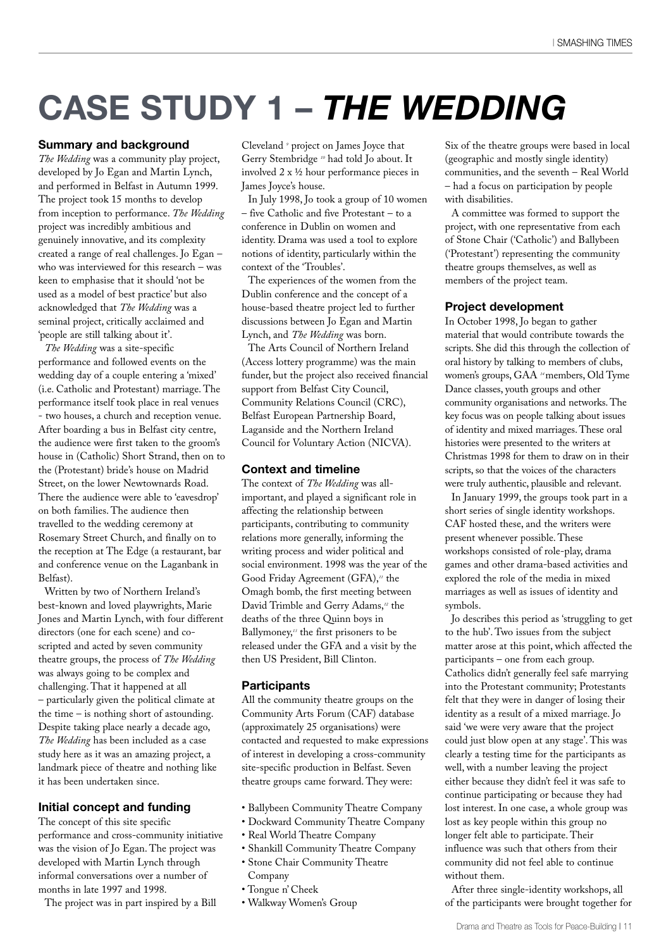### **CASE STUDY 1 –** *THE WEDDING*

#### **Summary and background**

*The Wedding* was a community play project, developed by Jo Egan and Martin Lynch, and performed in Belfast in Autumn 1999. The project took 15 months to develop from inception to performance. *The Wedding* project was incredibly ambitious and genuinely innovative, and its complexity created a range of real challenges. Jo Egan – who was interviewed for this research – was keen to emphasise that it should 'not be used as a model of best practice' but also acknowledged that *The Wedding* was a seminal project, critically acclaimed and 'people are still talking about it'.

*The Wedding* was a site-specific performance and followed events on the wedding day of a couple entering a 'mixed' (i.e. Catholic and Protestant) marriage. The performance itself took place in real venues - two houses, a church and reception venue. After boarding a bus in Belfast city centre, the audience were first taken to the groom's house in (Catholic) Short Strand, then on to the (Protestant) bride's house on Madrid Street, on the lower Newtownards Road. There the audience were able to 'eavesdrop' on both families. The audience then travelled to the wedding ceremony at Rosemary Street Church, and finally on to the reception at The Edge (a restaurant, bar and conference venue on the Laganbank in Belfast).

Written by two of Northern Ireland's best-known and loved playwrights, Marie Jones and Martin Lynch, with four different directors (one for each scene) and coscripted and acted by seven community theatre groups, the process of *The Wedding* was always going to be complex and challenging. That it happened at all – particularly given the political climate at the time – is nothing short of astounding. Despite taking place nearly a decade ago, *The Wedding* has been included as a case study here as it was an amazing project, a landmark piece of theatre and nothing like it has been undertaken since.

#### **Initial concept and funding**

The concept of this site specific performance and cross-community initiative was the vision of Jo Egan. The project was developed with Martin Lynch through informal conversations over a number of months in late 1997 and 1998.

The project was in part inspired by a Bill

Cleveland *<sup>9</sup>* project on James Joyce that Gerry Stembridge *<sup>10</sup>* had told Jo about. It involved 2 x ½ hour performance pieces in James Joyce's house.

In July 1998, Jo took a group of 10 women – five Catholic and five Protestant – to a conference in Dublin on women and identity. Drama was used a tool to explore notions of identity, particularly within the context of the 'Troubles'.

The experiences of the women from the Dublin conference and the concept of a house-based theatre project led to further discussions between Jo Egan and Martin Lynch, and *The Wedding* was born.

The Arts Council of Northern Ireland (Access lottery programme) was the main funder, but the project also received financial support from Belfast City Council, Community Relations Council (CRC), Belfast European Partnership Board, Laganside and the Northern Ireland Council for Voluntary Action (NICVA).

#### **Context and timeline**

The context of *The Wedding* was allimportant, and played a significant role in affecting the relationship between participants, contributing to community relations more generally, informing the writing process and wider political and social environment. 1998 was the year of the Good Friday Agreement (GFA), *<sup>11</sup>* the Omagh bomb, the first meeting between David Trimble and Gerry Adams, *<sup>12</sup>* the deaths of the three Quinn boys in Ballymoney, *<sup>13</sup>* the first prisoners to be released under the GFA and a visit by the then US President, Bill Clinton.

#### **Participants**

All the community theatre groups on the Community Arts Forum (CAF) database (approximately 25 organisations) were contacted and requested to make expressions of interest in developing a cross-community site-specific production in Belfast. Seven theatre groups came forward. They were:

- Ballybeen Community Theatre Company
- Dockward Community Theatre Company
- Real World Theatre Company
- Shankill Community Theatre Company
- Stone Chair Community Theatre
- Company
- Tongue n' Cheek
- Walkway Women's Group

Six of the theatre groups were based in local (geographic and mostly single identity) communities, and the seventh – Real World – had a focus on participation by people with disabilities.

A committee was formed to support the project, with one representative from each of Stone Chair ('Catholic') and Ballybeen ('Protestant') representing the community theatre groups themselves, as well as members of the project team.

#### **Project development**

In October 1998, Jo began to gather material that would contribute towards the scripts. She did this through the collection of oral history by talking to members of clubs, women's groups, GAA *<sup>14</sup>*members, Old Tyme Dance classes, youth groups and other community organisations and networks. The key focus was on people talking about issues of identity and mixed marriages. These oral histories were presented to the writers at Christmas 1998 for them to draw on in their scripts, so that the voices of the characters were truly authentic, plausible and relevant.

In January 1999, the groups took part in a short series of single identity workshops. CAF hosted these, and the writers were present whenever possible. These workshops consisted of role-play, drama games and other drama-based activities and explored the role of the media in mixed marriages as well as issues of identity and symbols.

Jo describes this period as 'struggling to get to the hub'. Two issues from the subject matter arose at this point, which affected the participants – one from each group. Catholics didn't generally feel safe marrying into the Protestant community; Protestants felt that they were in danger of losing their identity as a result of a mixed marriage. Jo said 'we were very aware that the project could just blow open at any stage'. This was clearly a testing time for the participants as well, with a number leaving the project either because they didn't feel it was safe to continue participating or because they had lost interest. In one case, a whole group was lost as key people within this group no longer felt able to participate. Their influence was such that others from their community did not feel able to continue without them.

After three single-identity workshops, all of the participants were brought together for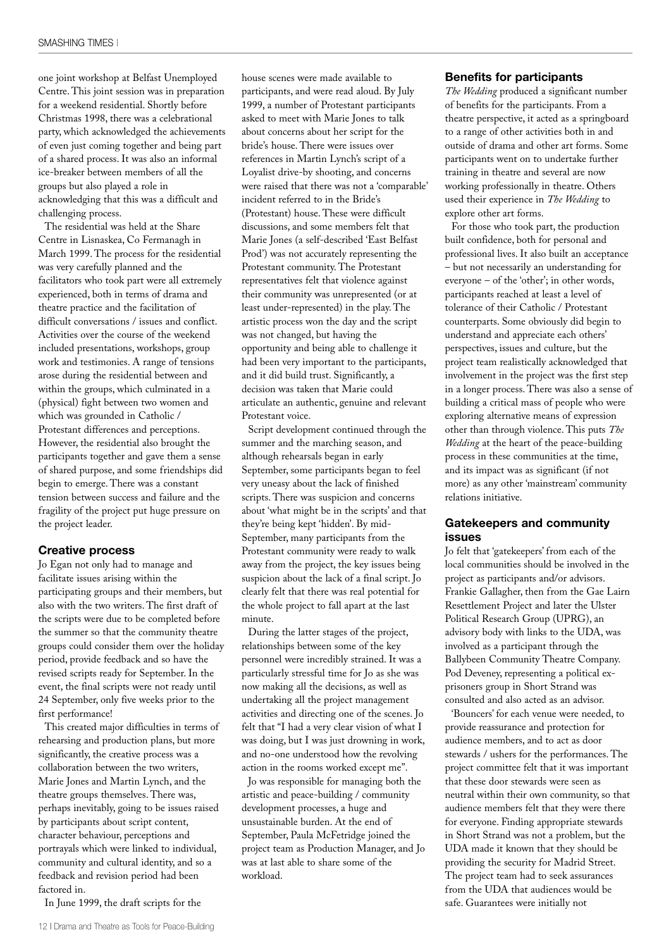one joint workshop at Belfast Unemployed Centre. This joint session was in preparation for a weekend residential. Shortly before Christmas 1998, there was a celebrational party, which acknowledged the achievements of even just coming together and being part of a shared process. It was also an informal ice-breaker between members of all the groups but also played a role in acknowledging that this was a difficult and challenging process.

The residential was held at the Share Centre in Lisnaskea, Co Fermanagh in March 1999. The process for the residential was very carefully planned and the facilitators who took part were all extremely experienced, both in terms of drama and theatre practice and the facilitation of difficult conversations / issues and conflict. Activities over the course of the weekend included presentations, workshops, group work and testimonies. A range of tensions arose during the residential between and within the groups, which culminated in a (physical) fight between two women and which was grounded in Catholic / Protestant differences and perceptions. However, the residential also brought the participants together and gave them a sense of shared purpose, and some friendships did begin to emerge. There was a constant tension between success and failure and the fragility of the project put huge pressure on the project leader.

#### **Creative process**

Jo Egan not only had to manage and facilitate issues arising within the participating groups and their members, but also with the two writers. The first draft of the scripts were due to be completed before the summer so that the community theatre groups could consider them over the holiday period, provide feedback and so have the revised scripts ready for September. In the event, the final scripts were not ready until 24 September, only five weeks prior to the first performance!

This created major difficulties in terms of rehearsing and production plans, but more significantly, the creative process was a collaboration between the two writers, Marie Jones and Martin Lynch, and the theatre groups themselves. There was, perhaps inevitably, going to be issues raised by participants about script content, character behaviour, perceptions and portrayals which were linked to individual, community and cultural identity, and so a feedback and revision period had been factored in.

In June 1999, the draft scripts for the

house scenes were made available to participants, and were read aloud. By July 1999, a number of Protestant participants asked to meet with Marie Jones to talk about concerns about her script for the bride's house. There were issues over references in Martin Lynch's script of a Loyalist drive-by shooting, and concerns were raised that there was not a 'comparable' incident referred to in the Bride's (Protestant) house. These were difficult discussions, and some members felt that Marie Jones (a self-described 'East Belfast Prod') was not accurately representing the Protestant community. The Protestant representatives felt that violence against their community was unrepresented (or at least under-represented) in the play. The artistic process won the day and the script was not changed, but having the opportunity and being able to challenge it had been very important to the participants, and it did build trust. Significantly, a decision was taken that Marie could articulate an authentic, genuine and relevant Protestant voice.

Script development continued through the summer and the marching season, and although rehearsals began in early September, some participants began to feel very uneasy about the lack of finished scripts. There was suspicion and concerns about 'what might be in the scripts' and that they're being kept 'hidden'. By mid-September, many participants from the Protestant community were ready to walk away from the project, the key issues being suspicion about the lack of a final script. Jo clearly felt that there was real potential for the whole project to fall apart at the last minute.

During the latter stages of the project, relationships between some of the key personnel were incredibly strained. It was a particularly stressful time for Jo as she was now making all the decisions, as well as undertaking all the project management activities and directing one of the scenes. Jo felt that "I had a very clear vision of what I was doing, but I was just drowning in work, and no-one understood how the revolving action in the rooms worked except me".

Jo was responsible for managing both the artistic and peace-building / community development processes, a huge and unsustainable burden. At the end of September, Paula McFetridge joined the project team as Production Manager, and Jo was at last able to share some of the workload.

#### **Benefits for participants**

*The Wedding* produced a significant number of benefits for the participants. From a theatre perspective, it acted as a springboard to a range of other activities both in and outside of drama and other art forms. Some participants went on to undertake further training in theatre and several are now working professionally in theatre. Others used their experience in *The Wedding* to explore other art forms.

For those who took part, the production built confidence, both for personal and professional lives. It also built an acceptance – but not necessarily an understanding for everyone – of the 'other'; in other words, participants reached at least a level of tolerance of their Catholic / Protestant counterparts. Some obviously did begin to understand and appreciate each others' perspectives, issues and culture, but the project team realistically acknowledged that involvement in the project was the first step in a longer process. There was also a sense of building a critical mass of people who were exploring alternative means of expression other than through violence. This puts *The Wedding* at the heart of the peace-building process in these communities at the time, and its impact was as significant (if not more) as any other 'mainstream' community relations initiative.

#### **Gatekeepers and community issues**

Jo felt that 'gatekeepers' from each of the local communities should be involved in the project as participants and/or advisors. Frankie Gallagher, then from the Gae Lairn Resettlement Project and later the Ulster Political Research Group (UPRG), an advisory body with links to the UDA, was involved as a participant through the Ballybeen Community Theatre Company. Pod Deveney, representing a political exprisoners group in Short Strand was consulted and also acted as an advisor.

'Bouncers' for each venue were needed, to provide reassurance and protection for audience members, and to act as door stewards / ushers for the performances. The project committee felt that it was important that these door stewards were seen as neutral within their own community, so that audience members felt that they were there for everyone. Finding appropriate stewards in Short Strand was not a problem, but the UDA made it known that they should be providing the security for Madrid Street. The project team had to seek assurances from the UDA that audiences would be safe. Guarantees were initially not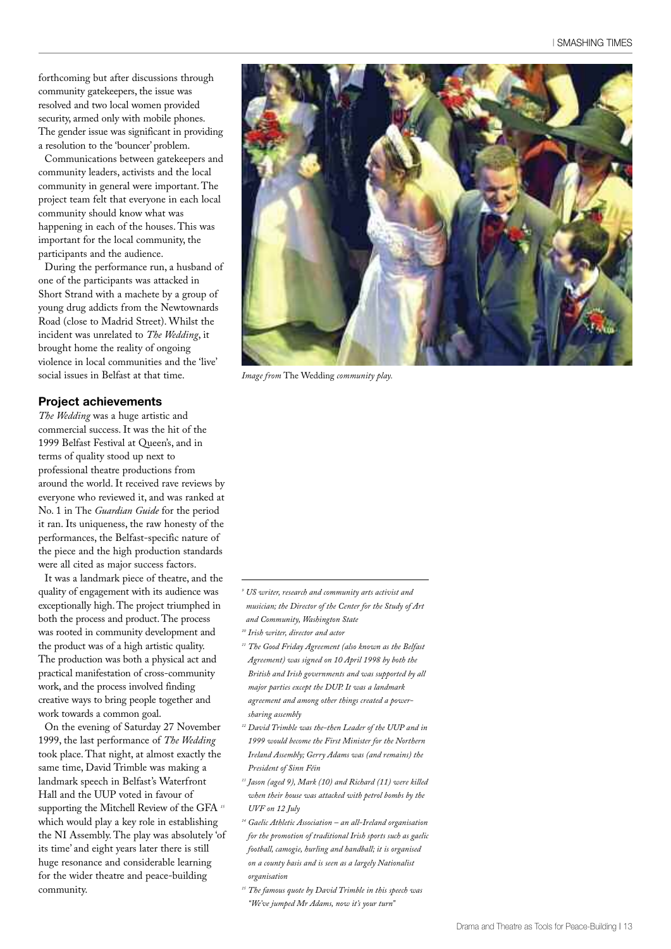forthcoming but after discussions through community gatekeepers, the issue was resolved and two local women provided security, armed only with mobile phones. The gender issue was significant in providing a resolution to the 'bouncer' problem.

Communications between gatekeepers and community leaders, activists and the local community in general were important. The project team felt that everyone in each local community should know what was happening in each of the houses. This was important for the local community, the participants and the audience.

During the performance run, a husband of one of the participants was attacked in Short Strand with a machete by a group of young drug addicts from the Newtownards Road (close to Madrid Street). Whilst the incident was unrelated to *The Wedding*, it brought home the reality of ongoing violence in local communities and the 'live' social issues in Belfast at that time.

#### **Project achievements**

*The Wedding* was a huge artistic and commercial success. It was the hit of the 1999 Belfast Festival at Queen's, and in terms of quality stood up next to professional theatre productions from around the world. It received rave reviews by everyone who reviewed it, and was ranked at No. 1 in The *Guardian Guide* for the period it ran. Its uniqueness, the raw honesty of the performances, the Belfast-specific nature of the piece and the high production standards were all cited as major success factors.

It was a landmark piece of theatre, and the quality of engagement with its audience was exceptionally high. The project triumphed in both the process and product. The process was rooted in community development and the product was of a high artistic quality. The production was both a physical act and practical manifestation of cross-community work, and the process involved finding creative ways to bring people together and work towards a common goal.

On the evening of Saturday 27 November 1999, the last performance of *The Wedding* took place. That night, at almost exactly the same time, David Trimble was making a landmark speech in Belfast's Waterfront Hall and the UUP voted in favour of supporting the Mitchell Review of the GFA *<sup>15</sup>* which would play a key role in establishing the NI Assembly. The play was absolutely 'of its time' and eight years later there is still huge resonance and considerable learning for the wider theatre and peace-building community.



*Image from* The Wedding *community play.*

- *<sup>9</sup> US writer, research and community arts activist and musician; the Director of the Center for the Study of Art and Community, Washington State*
- *<sup>10</sup> Irish writer, director and actor*
- *<sup>11</sup> The Good Friday Agreement (also known as the Belfast Agreement) was signed on 10 April 1998 by both the British and Irish governments and was supported by all major parties except the DUP. It was a landmark agreement and among other things created a powersharing assembly*
- *<sup>12</sup> David Trimble was the-then Leader of the UUP and in 1999 would become the First Minister for the Northern Ireland Assembly; Gerry Adams was (and remains) the President of Sinn Féin*
- *<sup>13</sup> Jason (aged 9), Mark (10) and Richard (11) were killed when their house was attacked with petrol bombs by the UVF on 12 July*
- *<sup>14</sup> Gaelic Athletic Association – an all-Ireland organisation for the promotion of traditional Irish sports such as gaelic football, camogie, hurling and handball; it is organised on a county basis and is seen as a largely Nationalist organisation*
- *<sup>15</sup> The famous quote by David Trimble in this speech was "We've jumped Mr Adams, now it's your turn"*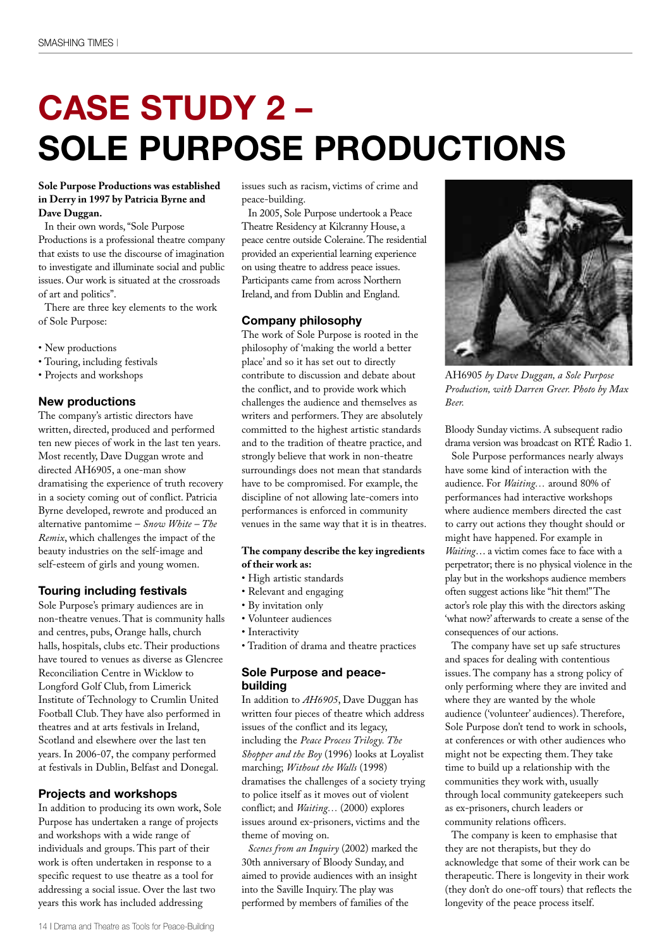# **CASE STUDY 2 – SOLE PURPOSE PRODUCTIONS**

#### **Sole Purpose Productions was established in Derry in 1997 by Patricia Byrne and Dave Duggan.**

In their own words,"Sole Purpose Productions is a professional theatre company that exists to use the discourse of imagination to investigate and illuminate social and public issues. Our work is situated at the crossroads of art and politics".

There are three key elements to the work of Sole Purpose:

- New productions
- Touring, including festivals
- Projects and workshops

#### **New productions**

The company's artistic directors have written, directed, produced and performed ten new pieces of work in the last ten years. Most recently, Dave Duggan wrote and directed AH6905, a one-man show dramatising the experience of truth recovery in a society coming out of conflict. Patricia Byrne developed, rewrote and produced an alternative pantomime – *Snow White – The Remix*, which challenges the impact of the beauty industries on the self-image and self-esteem of girls and young women.

#### **Touring including festivals**

Sole Purpose's primary audiences are in non-theatre venues. That is community halls and centres, pubs, Orange halls, church halls, hospitals, clubs etc. Their productions have toured to venues as diverse as Glencree Reconciliation Centre in Wicklow to Longford Golf Club, from Limerick Institute of Technology to Crumlin United Football Club. They have also performed in theatres and at arts festivals in Ireland, Scotland and elsewhere over the last ten years. In 2006-07, the company performed at festivals in Dublin, Belfast and Donegal.

#### **Projects and workshops**

In addition to producing its own work, Sole Purpose has undertaken a range of projects and workshops with a wide range of individuals and groups. This part of their work is often undertaken in response to a specific request to use theatre as a tool for addressing a social issue. Over the last two years this work has included addressing

issues such as racism, victims of crime and peace-building.

In 2005, Sole Purpose undertook a Peace Theatre Residency at Kilcranny House, a peace centre outside Coleraine.The residential provided an experiential learning experience on using theatre to address peace issues. Participants came from across Northern Ireland, and from Dublin and England.

#### **Company philosophy**

The work of Sole Purpose is rooted in the philosophy of 'making the world a better place' and so it has set out to directly contribute to discussion and debate about the conflict, and to provide work which challenges the audience and themselves as writers and performers. They are absolutely committed to the highest artistic standards and to the tradition of theatre practice, and strongly believe that work in non-theatre surroundings does not mean that standards have to be compromised. For example, the discipline of not allowing late-comers into performances is enforced in community venues in the same way that it is in theatres.

#### **The company describe the key ingredients of their work as:**

- High artistic standards
- Relevant and engaging
- By invitation only
- Volunteer audiences
- Interactivity
- Tradition of drama and theatre practices

#### **Sole Purpose and peacebuilding**

In addition to *AH6905*, Dave Duggan has written four pieces of theatre which address issues of the conflict and its legacy, including the *Peace Process Trilogy. The Shopper and the Boy* (1996) looks at Loyalist marching; *Without the Walls* (1998) dramatises the challenges of a society trying to police itself as it moves out of violent conflict; and *Waiting…* (2000) explores issues around ex-prisoners, victims and the theme of moving on.

*Scenes from an Inquiry* (2002) marked the 30th anniversary of Bloody Sunday, and aimed to provide audiences with an insight into the Saville Inquiry. The play was performed by members of families of the



AH6905 *by Dave Duggan, a Sole Purpose Production, with Darren Greer. Photo by Max Beer.*

Bloody Sunday victims. A subsequent radio drama version was broadcast on RTÉ Radio 1.

Sole Purpose performances nearly always have some kind of interaction with the audience. For *Waiting…* around 80% of performances had interactive workshops where audience members directed the cast to carry out actions they thought should or might have happened. For example in *Waiting*… a victim comes face to face with a perpetrator; there is no physical violence in the play but in the workshops audience members often suggest actions like "hit them!"The actor's role play this with the directors asking 'what now?' afterwards to create a sense of the consequences of our actions.

The company have set up safe structures and spaces for dealing with contentious issues. The company has a strong policy of only performing where they are invited and where they are wanted by the whole audience ('volunteer' audiences). Therefore, Sole Purpose don't tend to work in schools, at conferences or with other audiences who might not be expecting them. They take time to build up a relationship with the communities they work with, usually through local community gatekeepers such as ex-prisoners, church leaders or community relations officers.

The company is keen to emphasise that they are not therapists, but they do acknowledge that some of their work can be therapeutic. There is longevity in their work (they don't do one-off tours) that reflects the longevity of the peace process itself.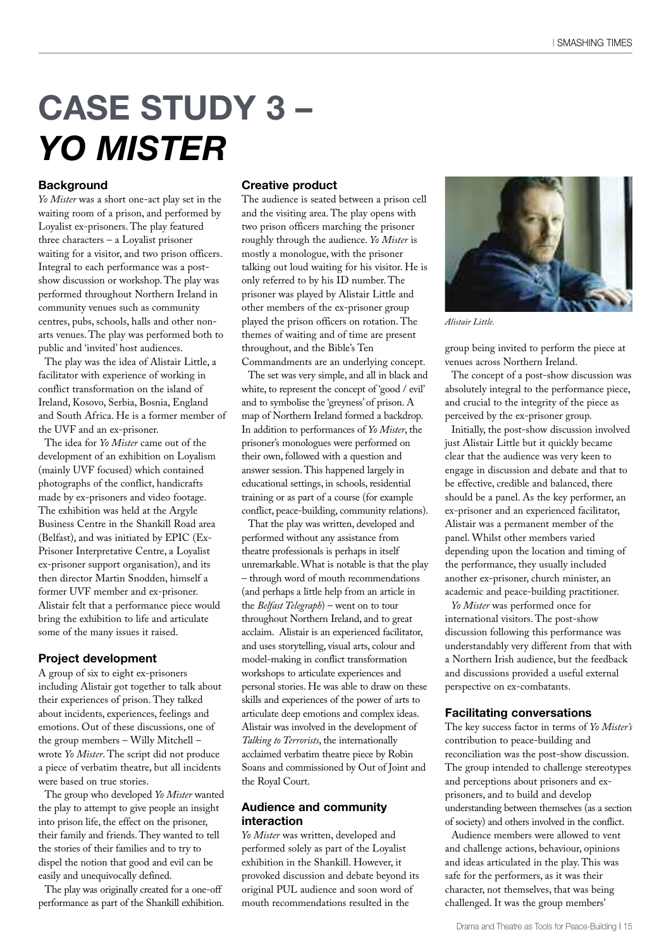# **CASE STUDY 3 –** *YO MISTER*

#### **Background**

*Yo Mister* was a short one-act play set in the waiting room of a prison, and performed by Loyalist ex-prisoners. The play featured three characters – a Loyalist prisoner waiting for a visitor, and two prison officers. Integral to each performance was a postshow discussion or workshop. The play was performed throughout Northern Ireland in community venues such as community centres, pubs, schools, halls and other nonarts venues. The play was performed both to public and 'invited' host audiences.

The play was the idea of Alistair Little, a facilitator with experience of working in conflict transformation on the island of Ireland, Kosovo, Serbia, Bosnia, England and South Africa. He is a former member of the UVF and an ex-prisoner.

The idea for *Yo Mister* came out of the development of an exhibition on Loyalism (mainly UVF focused) which contained photographs of the conflict, handicrafts made by ex-prisoners and video footage. The exhibition was held at the Argyle Business Centre in the Shankill Road area (Belfast), and was initiated by EPIC (Ex-Prisoner Interpretative Centre, a Loyalist ex-prisoner support organisation), and its then director Martin Snodden, himself a former UVF member and ex-prisoner. Alistair felt that a performance piece would bring the exhibition to life and articulate some of the many issues it raised.

#### **Project development**

A group of six to eight ex-prisoners including Alistair got together to talk about their experiences of prison. They talked about incidents, experiences, feelings and emotions. Out of these discussions, one of the group members – Willy Mitchell – wrote *Yo Mister*. The script did not produce a piece of verbatim theatre, but all incidents were based on true stories.

The group who developed *Yo Mister* wanted the play to attempt to give people an insight into prison life, the effect on the prisoner, their family and friends. They wanted to tell the stories of their families and to try to dispel the notion that good and evil can be easily and unequivocally defined.

The play was originally created for a one-off performance as part of the Shankill exhibition.

#### **Creative product**

The audience is seated between a prison cell and the visiting area. The play opens with two prison officers marching the prisoner roughly through the audience. *Yo Mister* is mostly a monologue, with the prisoner talking out loud waiting for his visitor. He is only referred to by his ID number. The prisoner was played by Alistair Little and other members of the ex-prisoner group played the prison officers on rotation. The themes of waiting and of time are present throughout, and the Bible's Ten

Commandments are an underlying concept. The set was very simple, and all in black and white, to represent the concept of 'good / evil' and to symbolise the 'greyness' of prison. A map of Northern Ireland formed a backdrop. In addition to performances of *Yo Mister*, the prisoner's monologues were performed on their own, followed with a question and answer session.This happened largely in educational settings, in schools, residential training or as part of a course (for example conflict, peace-building, community relations).

That the play was written, developed and performed without any assistance from theatre professionals is perhaps in itself unremarkable.What is notable is that the play – through word of mouth recommendations (and perhaps a little help from an article in the *Belfast Telegraph*) – went on to tour throughout Northern Ireland, and to great acclaim. Alistair is an experienced facilitator, and uses storytelling, visual arts, colour and model-making in conflict transformation workshops to articulate experiences and personal stories. He was able to draw on these skills and experiences of the power of arts to articulate deep emotions and complex ideas. Alistair was involved in the development of *Talking to Terrorists*, the internationally acclaimed verbatim theatre piece by Robin Soans and commissioned by Out of Joint and the Royal Court.

#### **Audience and community interaction**

*Yo Mister* was written, developed and performed solely as part of the Loyalist exhibition in the Shankill. However, it provoked discussion and debate beyond its original PUL audience and soon word of mouth recommendations resulted in the



*Alistair Little.*

group being invited to perform the piece at venues across Northern Ireland.

The concept of a post-show discussion was absolutely integral to the performance piece, and crucial to the integrity of the piece as perceived by the ex-prisoner group.

Initially, the post-show discussion involved just Alistair Little but it quickly became clear that the audience was very keen to engage in discussion and debate and that to be effective, credible and balanced, there should be a panel. As the key performer, an ex-prisoner and an experienced facilitator, Alistair was a permanent member of the panel. Whilst other members varied depending upon the location and timing of the performance, they usually included another ex-prisoner, church minister, an academic and peace-building practitioner.

*Yo Mister* was performed once for international visitors. The post-show discussion following this performance was understandably very different from that with a Northern Irish audience, but the feedback and discussions provided a useful external perspective on ex-combatants.

#### **Facilitating conversations**

The key success factor in terms of *Yo Mister's* contribution to peace-building and reconciliation was the post-show discussion. The group intended to challenge stereotypes and perceptions about prisoners and exprisoners, and to build and develop understanding between themselves (as a section of society) and others involved in the conflict.

Audience members were allowed to vent and challenge actions, behaviour, opinions and ideas articulated in the play. This was safe for the performers, as it was their character, not themselves, that was being challenged. It was the group members'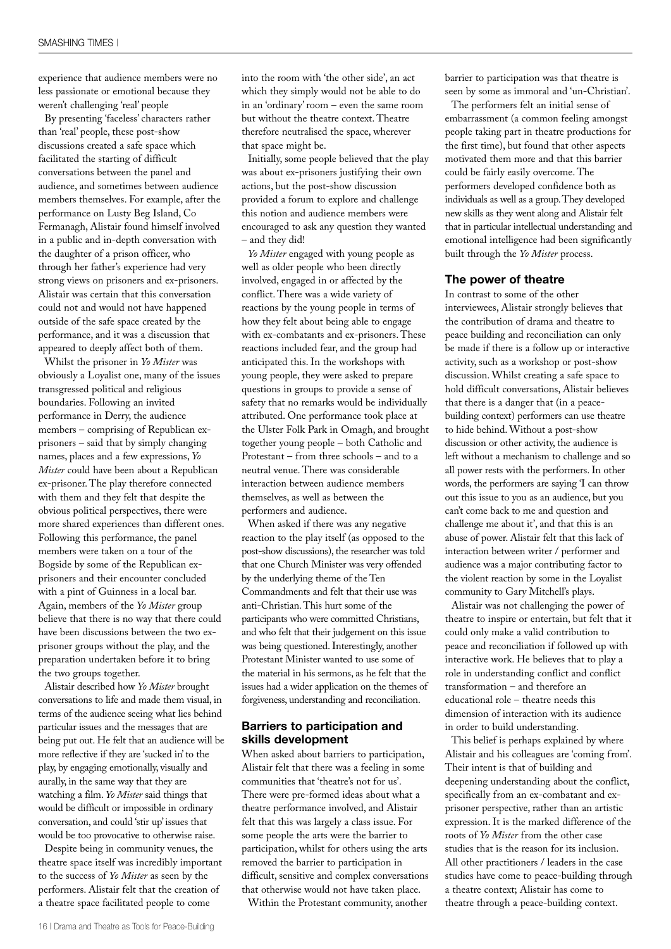experience that audience members were no less passionate or emotional because they weren't challenging 'real' people

By presenting 'faceless' characters rather than 'real' people, these post-show discussions created a safe space which facilitated the starting of difficult conversations between the panel and audience, and sometimes between audience members themselves. For example, after the performance on Lusty Beg Island, Co Fermanagh, Alistair found himself involved in a public and in-depth conversation with the daughter of a prison officer, who through her father's experience had very strong views on prisoners and ex-prisoners. Alistair was certain that this conversation could not and would not have happened outside of the safe space created by the performance, and it was a discussion that appeared to deeply affect both of them.

Whilst the prisoner in *Yo Mister* was obviously a Loyalist one, many of the issues transgressed political and religious boundaries. Following an invited performance in Derry, the audience members – comprising of Republican exprisoners – said that by simply changing names, places and a few expressions, *Yo Mister* could have been about a Republican ex-prisoner. The play therefore connected with them and they felt that despite the obvious political perspectives, there were more shared experiences than different ones. Following this performance, the panel members were taken on a tour of the Bogside by some of the Republican exprisoners and their encounter concluded with a pint of Guinness in a local bar. Again, members of the *Yo Mister* group believe that there is no way that there could have been discussions between the two exprisoner groups without the play, and the preparation undertaken before it to bring the two groups together.

Alistair described how *Yo Mister* brought conversations to life and made them visual, in terms of the audience seeing what lies behind particular issues and the messages that are being put out. He felt that an audience will be more reflective if they are 'sucked in'to the play, by engaging emotionally, visually and aurally, in the same way that they are watching a film. *Yo Mister* said things that would be difficult or impossible in ordinary conversation, and could 'stir up' issues that would be too provocative to otherwise raise.

Despite being in community venues, the theatre space itself was incredibly important to the success of *Yo Mister* as seen by the performers. Alistair felt that the creation of a theatre space facilitated people to come

into the room with 'the other side', an act which they simply would not be able to do in an 'ordinary' room – even the same room but without the theatre context. Theatre therefore neutralised the space, wherever that space might be.

Initially, some people believed that the play was about ex-prisoners justifying their own actions, but the post-show discussion provided a forum to explore and challenge this notion and audience members were encouraged to ask any question they wanted – and they did!

*Yo Mister* engaged with young people as well as older people who been directly involved, engaged in or affected by the conflict. There was a wide variety of reactions by the young people in terms of how they felt about being able to engage with ex-combatants and ex-prisoners. These reactions included fear, and the group had anticipated this. In the workshops with young people, they were asked to prepare questions in groups to provide a sense of safety that no remarks would be individually attributed. One performance took place at the Ulster Folk Park in Omagh, and brought together young people – both Catholic and Protestant – from three schools – and to a neutral venue. There was considerable interaction between audience members themselves, as well as between the performers and audience.

When asked if there was any negative reaction to the play itself (as opposed to the post-show discussions), the researcher was told that one Church Minister was very offended by the underlying theme of the Ten Commandments and felt that their use was anti-Christian.This hurt some of the participants who were committed Christians, and who felt that their judgement on this issue was being questioned.Interestingly, another Protestant Minister wanted to use some of the material in his sermons, as he felt that the issues had a wider application on the themes of forgiveness, understanding and reconciliation.

#### **Barriers to participation and skills development**

When asked about barriers to participation, Alistair felt that there was a feeling in some communities that 'theatre's not for us'. There were pre-formed ideas about what a theatre performance involved, and Alistair felt that this was largely a class issue. For some people the arts were the barrier to participation, whilst for others using the arts removed the barrier to participation in difficult, sensitive and complex conversations that otherwise would not have taken place.

Within the Protestant community, another

barrier to participation was that theatre is seen by some as immoral and 'un-Christian'.

The performers felt an initial sense of embarrassment (a common feeling amongst people taking part in theatre productions for the first time), but found that other aspects motivated them more and that this barrier could be fairly easily overcome. The performers developed confidence both as individuals as well as a group.They developed new skills as they went along and Alistair felt that in particular intellectual understanding and emotional intelligence had been significantly built through the *Yo Mister* process.

#### **The power of theatre**

In contrast to some of the other interviewees, Alistair strongly believes that the contribution of drama and theatre to peace building and reconciliation can only be made if there is a follow up or interactive activity, such as a workshop or post-show discussion. Whilst creating a safe space to hold difficult conversations, Alistair believes that there is a danger that (in a peacebuilding context) performers can use theatre to hide behind.Without a post-show discussion or other activity, the audience is left without a mechanism to challenge and so all power rests with the performers. In other words, the performers are saying 'I can throw out this issue to you as an audience, but you can't come back to me and question and challenge me about it', and that this is an abuse of power. Alistair felt that this lack of interaction between writer / performer and audience was a major contributing factor to the violent reaction by some in the Loyalist community to Gary Mitchell's plays.

Alistair was not challenging the power of theatre to inspire or entertain, but felt that it could only make a valid contribution to peace and reconciliation if followed up with interactive work. He believes that to play a role in understanding conflict and conflict transformation – and therefore an educational role – theatre needs this dimension of interaction with its audience in order to build understanding.

This belief is perhaps explained by where Alistair and his colleagues are 'coming from'. Their intent is that of building and deepening understanding about the conflict, specifically from an ex-combatant and exprisoner perspective, rather than an artistic expression. It is the marked difference of the roots of *Yo Mister* from the other case studies that is the reason for its inclusion. All other practitioners / leaders in the case studies have come to peace-building through a theatre context; Alistair has come to theatre through a peace-building context.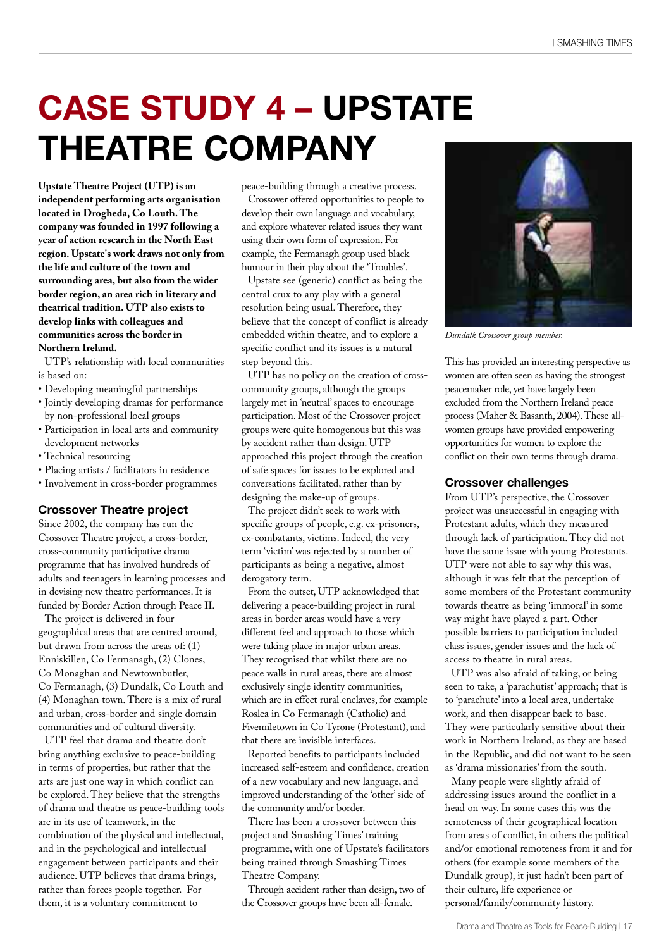## **CASE STUDY 4 – UPSTATE THEATRE COMPANY**

**Upstate Theatre Project (UTP) is an independent performing arts organisation located in Drogheda, Co Louth.The company was founded in 1997 following a year of action research in the North East region. Upstate's work draws not only from the life and culture of the town and surrounding area, but also from the wider border region, an area rich in literary and theatrical tradition. UTP also exists to develop links with colleagues and communities across the border in Northern Ireland.**

UTP's relationship with local communities is based on:

- Developing meaningful partnerships
- Jointly developing dramas for performance by non-professional local groups
- Participation in local arts and community development networks
- Technical resourcing
- Placing artists / facilitators in residence
- Involvement in cross-border programmes

#### **Crossover Theatre project**

Since 2002, the company has run the Crossover Theatre project, a cross-border, cross-community participative drama programme that has involved hundreds of adults and teenagers in learning processes and in devising new theatre performances. It is funded by Border Action through Peace II.

The project is delivered in four geographical areas that are centred around, but drawn from across the areas of: (1) Enniskillen, Co Fermanagh, (2) Clones, Co Monaghan and Newtownbutler, Co Fermanagh, (3) Dundalk, Co Louth and (4) Monaghan town. There is a mix of rural and urban, cross-border and single domain communities and of cultural diversity.

UTP feel that drama and theatre don't bring anything exclusive to peace-building in terms of properties, but rather that the arts are just one way in which conflict can be explored. They believe that the strengths of drama and theatre as peace-building tools are in its use of teamwork, in the combination of the physical and intellectual, and in the psychological and intellectual engagement between participants and their audience. UTP believes that drama brings, rather than forces people together. For them, it is a voluntary commitment to

peace-building through a creative process.

Crossover offered opportunities to people to develop their own language and vocabulary, and explore whatever related issues they want using their own form of expression. For example, the Fermanagh group used black humour in their play about the 'Troubles'.

Upstate see (generic) conflict as being the central crux to any play with a general resolution being usual. Therefore, they believe that the concept of conflict is already embedded within theatre, and to explore a specific conflict and its issues is a natural step beyond this.

UTP has no policy on the creation of crosscommunity groups, although the groups largely met in 'neutral'spaces to encourage participation. Most of the Crossover project groups were quite homogenous but this was by accident rather than design. UTP approached this project through the creation of safe spaces for issues to be explored and conversations facilitated, rather than by designing the make-up of groups.

The project didn't seek to work with specific groups of people, e.g. ex-prisoners, ex-combatants, victims. Indeed, the very term 'victim' was rejected by a number of participants as being a negative, almost derogatory term.

From the outset, UTP acknowledged that delivering a peace-building project in rural areas in border areas would have a very different feel and approach to those which were taking place in major urban areas. They recognised that whilst there are no peace walls in rural areas, there are almost exclusively single identity communities, which are in effect rural enclaves, for example Roslea in Co Fermanagh (Catholic) and Fivemiletown in Co Tyrone (Protestant), and that there are invisible interfaces.

Reported benefits to participants included increased self-esteem and confidence, creation of a new vocabulary and new language, and improved understanding of the 'other'side of the community and/or border.

There has been a crossover between this project and Smashing Times' training programme, with one of Upstate's facilitators being trained through Smashing Times Theatre Company.

Through accident rather than design, two of the Crossover groups have been all-female.



*Dundalk Crossover group member.*

This has provided an interesting perspective as women are often seen as having the strongest peacemaker role, yet have largely been excluded from the Northern Ireland peace process (Maher & Basanth, 2004).These allwomen groups have provided empowering opportunities for women to explore the conflict on their own terms through drama.

#### **Crossover challenges**

From UTP's perspective, the Crossover project was unsuccessful in engaging with Protestant adults, which they measured through lack of participation. They did not have the same issue with young Protestants. UTP were not able to say why this was, although it was felt that the perception of some members of the Protestant community towards theatre as being 'immoral' in some way might have played a part. Other possible barriers to participation included class issues, gender issues and the lack of access to theatre in rural areas.

UTP was also afraid of taking, or being seen to take, a 'parachutist' approach; that is to 'parachute' into a local area, undertake work, and then disappear back to base. They were particularly sensitive about their work in Northern Ireland, as they are based in the Republic, and did not want to be seen as 'drama missionaries' from the south.

Many people were slightly afraid of addressing issues around the conflict in a head on way. In some cases this was the remoteness of their geographical location from areas of conflict, in others the political and/or emotional remoteness from it and for others (for example some members of the Dundalk group), it just hadn't been part of their culture, life experience or personal/family/community history.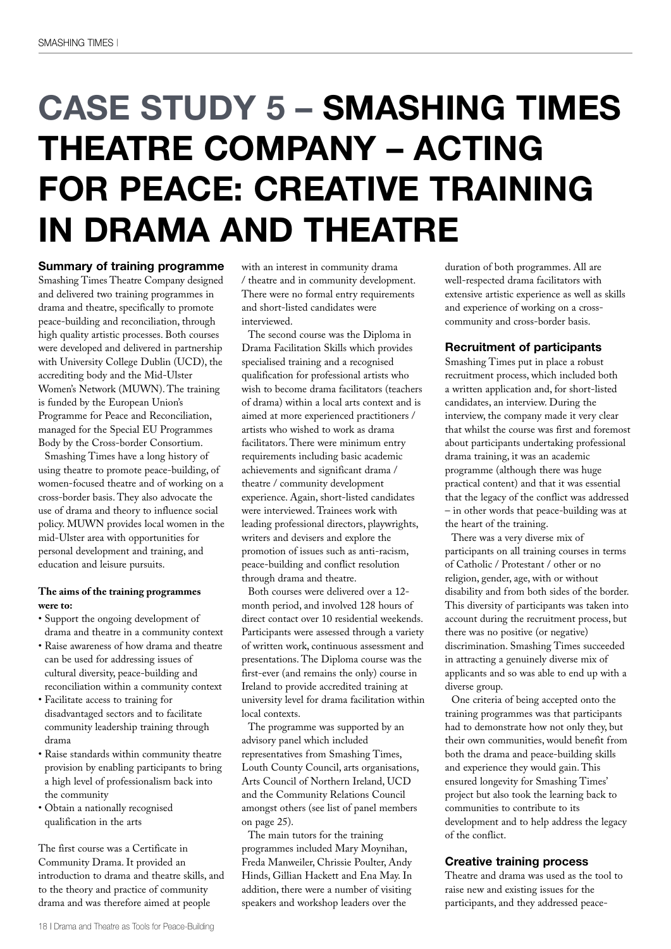### **CASE STUDY 5 – SMASHING TIMES THEATRE COMPANY – ACTING FOR PEACE: CREATIVE TRAINING IN DRAMA AND THEATRE**

**Summary of training programme** Smashing Times Theatre Company designed and delivered two training programmes in drama and theatre, specifically to promote peace-building and reconciliation, through high quality artistic processes. Both courses were developed and delivered in partnership with University College Dublin (UCD), the accrediting body and the Mid-Ulster Women's Network (MUWN). The training is funded by the European Union's Programme for Peace and Reconciliation, managed for the Special EU Programmes Body by the Cross-border Consortium.

Smashing Times have a long history of using theatre to promote peace-building, of women-focused theatre and of working on a cross-border basis. They also advocate the use of drama and theory to influence social policy. MUWN provides local women in the mid-Ulster area with opportunities for personal development and training, and education and leisure pursuits.

#### **The aims of the training programmes were to:**

- Support the ongoing development of drama and theatre in a community context
- Raise awareness of how drama and theatre can be used for addressing issues of cultural diversity, peace-building and reconciliation within a community context
- Facilitate access to training for disadvantaged sectors and to facilitate community leadership training through drama
- Raise standards within community theatre provision by enabling participants to bring a high level of professionalism back into the community
- Obtain a nationally recognised qualification in the arts

The first course was a Certificate in Community Drama. It provided an introduction to drama and theatre skills, and to the theory and practice of community drama and was therefore aimed at people

with an interest in community drama / theatre and in community development. There were no formal entry requirements and short-listed candidates were interviewed.

The second course was the Diploma in Drama Facilitation Skills which provides specialised training and a recognised qualification for professional artists who wish to become drama facilitators (teachers of drama) within a local arts context and is aimed at more experienced practitioners / artists who wished to work as drama facilitators. There were minimum entry requirements including basic academic achievements and significant drama / theatre / community development experience. Again, short-listed candidates were interviewed. Trainees work with leading professional directors, playwrights, writers and devisers and explore the promotion of issues such as anti-racism, peace-building and conflict resolution through drama and theatre.

Both courses were delivered over a 12 month period, and involved 128 hours of direct contact over 10 residential weekends. Participants were assessed through a variety of written work, continuous assessment and presentations. The Diploma course was the first-ever (and remains the only) course in Ireland to provide accredited training at university level for drama facilitation within local contexts.

The programme was supported by an advisory panel which included representatives from Smashing Times, Louth County Council, arts organisations, Arts Council of Northern Ireland, UCD and the Community Relations Council amongst others (see list of panel members on page 25).

The main tutors for the training programmes included Mary Moynihan, Freda Manweiler, Chrissie Poulter, Andy Hinds, Gillian Hackett and Ena May. In addition, there were a number of visiting speakers and workshop leaders over the

duration of both programmes. All are well-respected drama facilitators with extensive artistic experience as well as skills and experience of working on a crosscommunity and cross-border basis.

#### **Recruitment of participants**

Smashing Times put in place a robust recruitment process, which included both a written application and, for short-listed candidates, an interview. During the interview, the company made it very clear that whilst the course was first and foremost about participants undertaking professional drama training, it was an academic programme (although there was huge practical content) and that it was essential that the legacy of the conflict was addressed – in other words that peace-building was at the heart of the training.

There was a very diverse mix of participants on all training courses in terms of Catholic / Protestant / other or no religion, gender, age, with or without disability and from both sides of the border. This diversity of participants was taken into account during the recruitment process, but there was no positive (or negative) discrimination. Smashing Times succeeded in attracting a genuinely diverse mix of applicants and so was able to end up with a diverse group.

One criteria of being accepted onto the training programmes was that participants had to demonstrate how not only they, but their own communities, would benefit from both the drama and peace-building skills and experience they would gain. This ensured longevity for Smashing Times' project but also took the learning back to communities to contribute to its development and to help address the legacy of the conflict.

#### **Creative training process**

Theatre and drama was used as the tool to raise new and existing issues for the participants, and they addressed peace-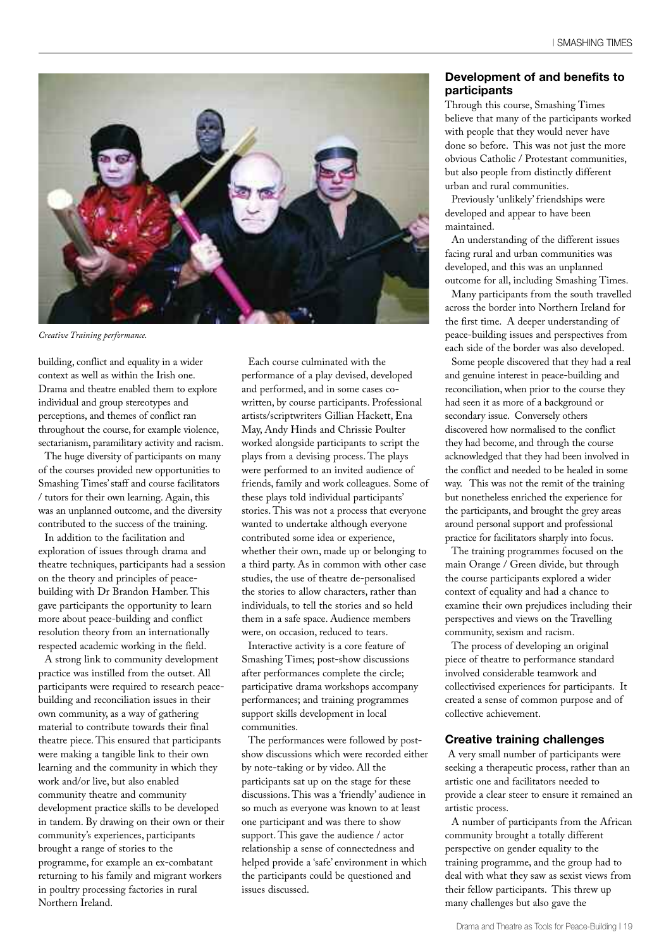

*Creative Training performance.*

building, conflict and equality in a wider context as well as within the Irish one. Drama and theatre enabled them to explore individual and group stereotypes and perceptions, and themes of conflict ran throughout the course, for example violence, sectarianism, paramilitary activity and racism.

The huge diversity of participants on many of the courses provided new opportunities to Smashing Times'staff and course facilitators / tutors for their own learning. Again, this was an unplanned outcome, and the diversity contributed to the success of the training.

In addition to the facilitation and exploration of issues through drama and theatre techniques, participants had a session on the theory and principles of peacebuilding with Dr Brandon Hamber. This gave participants the opportunity to learn more about peace-building and conflict resolution theory from an internationally respected academic working in the field.

A strong link to community development practice was instilled from the outset. All participants were required to research peacebuilding and reconciliation issues in their own community, as a way of gathering material to contribute towards their final theatre piece. This ensured that participants were making a tangible link to their own learning and the community in which they work and/or live, but also enabled community theatre and community development practice skills to be developed in tandem. By drawing on their own or their community's experiences, participants brought a range of stories to the programme, for example an ex-combatant returning to his family and migrant workers in poultry processing factories in rural Northern Ireland.

Each course culminated with the performance of a play devised, developed and performed, and in some cases cowritten, by course participants. Professional artists/scriptwriters Gillian Hackett, Ena May, Andy Hinds and Chrissie Poulter worked alongside participants to script the plays from a devising process. The plays were performed to an invited audience of friends, family and work colleagues. Some of these plays told individual participants' stories. This was not a process that everyone wanted to undertake although everyone contributed some idea or experience, whether their own, made up or belonging to a third party. As in common with other case studies, the use of theatre de-personalised the stories to allow characters, rather than individuals, to tell the stories and so held them in a safe space. Audience members were, on occasion, reduced to tears.

Interactive activity is a core feature of Smashing Times; post-show discussions after performances complete the circle; participative drama workshops accompany performances; and training programmes support skills development in local communities.

The performances were followed by postshow discussions which were recorded either by note-taking or by video. All the participants sat up on the stage for these discussions. This was a 'friendly' audience in so much as everyone was known to at least one participant and was there to show support. This gave the audience / actor relationship a sense of connectedness and helped provide a 'safe' environment in which the participants could be questioned and issues discussed.

#### **Development of and benefits to participants**

Through this course, Smashing Times believe that many of the participants worked with people that they would never have done so before. This was not just the more obvious Catholic / Protestant communities, but also people from distinctly different urban and rural communities.

Previously 'unlikely' friendships were developed and appear to have been maintained.

An understanding of the different issues facing rural and urban communities was developed, and this was an unplanned outcome for all, including Smashing Times.

Many participants from the south travelled across the border into Northern Ireland for the first time. A deeper understanding of peace-building issues and perspectives from each side of the border was also developed.

Some people discovered that they had a real and genuine interest in peace-building and reconciliation, when prior to the course they had seen it as more of a background or secondary issue. Conversely others discovered how normalised to the conflict they had become, and through the course acknowledged that they had been involved in the conflict and needed to be healed in some way. This was not the remit of the training but nonetheless enriched the experience for the participants, and brought the grey areas around personal support and professional practice for facilitators sharply into focus.

The training programmes focused on the main Orange / Green divide, but through the course participants explored a wider context of equality and had a chance to examine their own prejudices including their perspectives and views on the Travelling community, sexism and racism.

The process of developing an original piece of theatre to performance standard involved considerable teamwork and collectivised experiences for participants. It created a sense of common purpose and of collective achievement.

#### **Creative training challenges**

A very small number of participants were seeking a therapeutic process, rather than an artistic one and facilitators needed to provide a clear steer to ensure it remained an artistic process.

A number of participants from the African community brought a totally different perspective on gender equality to the training programme, and the group had to deal with what they saw as sexist views from their fellow participants. This threw up many challenges but also gave the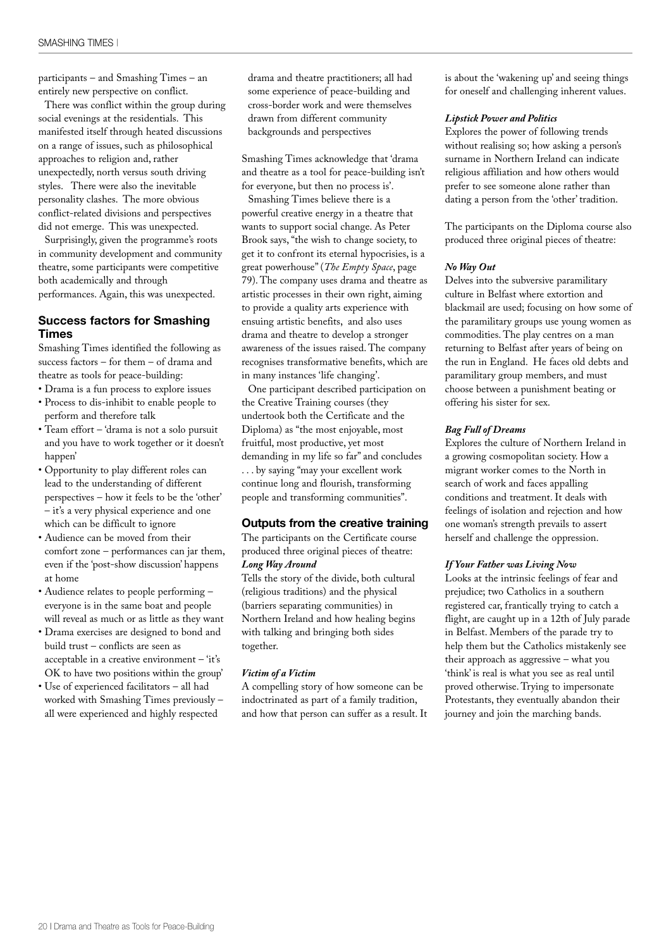participants – and Smashing Times – an entirely new perspective on conflict.

There was conflict within the group during social evenings at the residentials. This manifested itself through heated discussions on a range of issues, such as philosophical approaches to religion and, rather unexpectedly, north versus south driving styles. There were also the inevitable personality clashes. The more obvious conflict-related divisions and perspectives did not emerge. This was unexpected.

Surprisingly, given the programme's roots in community development and community theatre, some participants were competitive both academically and through performances. Again, this was unexpected.

#### **Success factors for Smashing Times**

Smashing Times identified the following as success factors – for them – of drama and theatre as tools for peace-building:

- Drama is a fun process to explore issues • Process to dis-inhibit to enable people to
- perform and therefore talk • Team effort – 'drama is not a solo pursuit and you have to work together or it doesn't happen'
- Opportunity to play different roles can lead to the understanding of different perspectives – how it feels to be the 'other' – it's a very physical experience and one which can be difficult to ignore
- Audience can be moved from their comfort zone – performances can jar them, even if the 'post-show discussion' happens at home
- Audience relates to people performing everyone is in the same boat and people will reveal as much or as little as they want
- Drama exercises are designed to bond and build trust – conflicts are seen as acceptable in a creative environment – 'it's OK to have two positions within the group'
- Use of experienced facilitators all had worked with Smashing Times previously – all were experienced and highly respected

drama and theatre practitioners; all had some experience of peace-building and cross-border work and were themselves drawn from different community backgrounds and perspectives

Smashing Times acknowledge that 'drama and theatre as a tool for peace-building isn't for everyone, but then no process is'.

Smashing Times believe there is a powerful creative energy in a theatre that wants to support social change. As Peter Brook says,"the wish to change society, to get it to confront its eternal hypocrisies, is a great powerhouse"(*The Empty Space*, page 79). The company uses drama and theatre as artistic processes in their own right, aiming to provide a quality arts experience with ensuing artistic benefits, and also uses drama and theatre to develop a stronger awareness of the issues raised. The company recognises transformative benefits, which are in many instances 'life changing'.

One participant described participation on the Creative Training courses (they undertook both the Certificate and the Diploma) as "the most enjoyable, most fruitful, most productive, yet most demanding in my life so far" and concludes . . . by saying "may your excellent work continue long and flourish, transforming people and transforming communities".

#### **Outputs from the creative training**

The participants on the Certificate course produced three original pieces of theatre: *Long Way Around*

Tells the story of the divide, both cultural (religious traditions) and the physical (barriers separating communities) in Northern Ireland and how healing begins with talking and bringing both sides together.

#### *Victim of a Victim*

A compelling story of how someone can be indoctrinated as part of a family tradition, and how that person can suffer as a result. It is about the 'wakening up' and seeing things for oneself and challenging inherent values.

#### *Lipstick Power and Politics*

Explores the power of following trends without realising so; how asking a person's surname in Northern Ireland can indicate religious affiliation and how others would prefer to see someone alone rather than dating a person from the 'other' tradition.

The participants on the Diploma course also produced three original pieces of theatre:

#### *No Way Out*

Delves into the subversive paramilitary culture in Belfast where extortion and blackmail are used; focusing on how some of the paramilitary groups use young women as commodities. The play centres on a man returning to Belfast after years of being on the run in England. He faces old debts and paramilitary group members, and must choose between a punishment beating or offering his sister for sex.

#### *Bag Full of Dreams*

Explores the culture of Northern Ireland in a growing cosmopolitan society. How a migrant worker comes to the North in search of work and faces appalling conditions and treatment. It deals with feelings of isolation and rejection and how one woman's strength prevails to assert herself and challenge the oppression.

#### *If Your Father was Living Now*

Looks at the intrinsic feelings of fear and prejudice; two Catholics in a southern registered car, frantically trying to catch a flight, are caught up in a 12th of July parade in Belfast. Members of the parade try to help them but the Catholics mistakenly see their approach as aggressive – what you 'think' is real is what you see as real until proved otherwise. Trying to impersonate Protestants, they eventually abandon their journey and join the marching bands.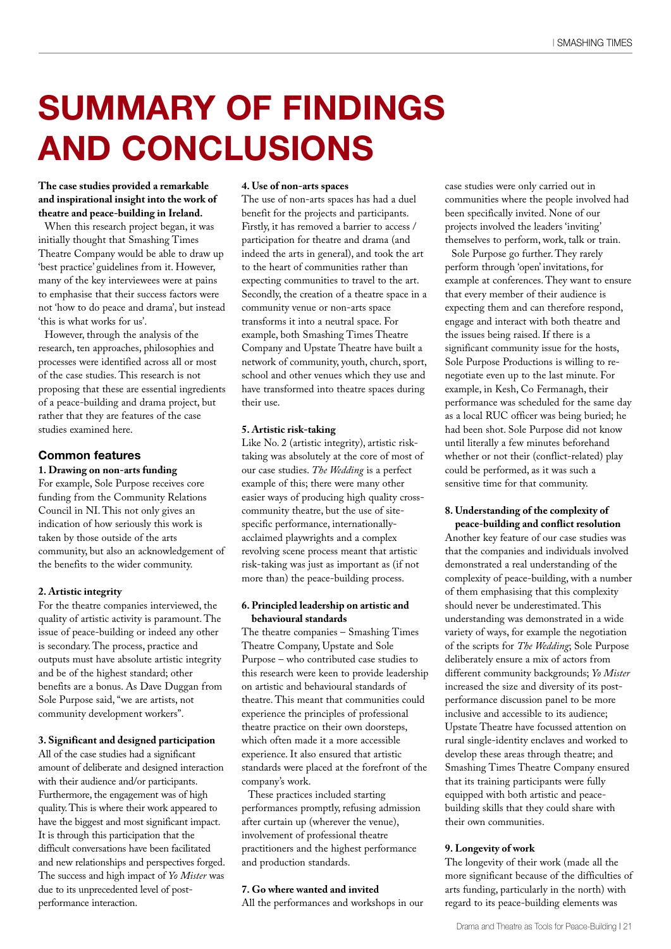### **SUMMARY OF FINDINGS AND CONCLUSIONS**

**The case studies provided a remarkable and inspirational insight into the work of theatre and peace-building in Ireland.**

When this research project began, it was initially thought that Smashing Times Theatre Company would be able to draw up 'best practice' guidelines from it. However, many of the key interviewees were at pains to emphasise that their success factors were not 'how to do peace and drama', but instead 'this is what works for us'.

However, through the analysis of the research, ten approaches, philosophies and processes were identified across all or most of the case studies. This research is not proposing that these are essential ingredients of a peace-building and drama project, but rather that they are features of the case studies examined here.

#### **Common features**

#### **1. Drawing on non-arts funding**

For example, Sole Purpose receives core funding from the Community Relations Council in NI. This not only gives an indication of how seriously this work is taken by those outside of the arts community, but also an acknowledgement of the benefits to the wider community.

#### **2. Artistic integrity**

For the theatre companies interviewed, the quality of artistic activity is paramount. The issue of peace-building or indeed any other is secondary. The process, practice and outputs must have absolute artistic integrity and be of the highest standard; other benefits are a bonus. As Dave Duggan from Sole Purpose said,"we are artists, not community development workers".

#### **3. Significant and designed participation**

All of the case studies had a significant amount of deliberate and designed interaction with their audience and/or participants. Furthermore, the engagement was of high quality.This is where their work appeared to have the biggest and most significant impact. It is through this participation that the difficult conversations have been facilitated and new relationships and perspectives forged. The success and high impact of *Yo Mister* was due to its unprecedented level of postperformance interaction.

#### **4. Use of non-arts spaces**

The use of non-arts spaces has had a duel benefit for the projects and participants. Firstly, it has removed a barrier to access / participation for theatre and drama (and indeed the arts in general), and took the art to the heart of communities rather than expecting communities to travel to the art. Secondly, the creation of a theatre space in a community venue or non-arts space transforms it into a neutral space. For example, both Smashing Times Theatre Company and Upstate Theatre have built a network of community, youth, church, sport, school and other venues which they use and have transformed into theatre spaces during their use.

#### **5. Artistic risk-taking**

Like No. 2 (artistic integrity), artistic risktaking was absolutely at the core of most of our case studies. *The Wedding* is a perfect example of this; there were many other easier ways of producing high quality crosscommunity theatre, but the use of sitespecific performance, internationallyacclaimed playwrights and a complex revolving scene process meant that artistic risk-taking was just as important as (if not more than) the peace-building process.

#### **6. Principled leadership on artistic and behavioural standards**

The theatre companies – Smashing Times Theatre Company, Upstate and Sole Purpose – who contributed case studies to this research were keen to provide leadership on artistic and behavioural standards of theatre. This meant that communities could experience the principles of professional theatre practice on their own doorsteps, which often made it a more accessible experience. It also ensured that artistic standards were placed at the forefront of the company's work.

These practices included starting performances promptly, refusing admission after curtain up (wherever the venue), involvement of professional theatre practitioners and the highest performance and production standards.

#### **7. Go where wanted and invited**

All the performances and workshops in our

case studies were only carried out in communities where the people involved had been specifically invited. None of our projects involved the leaders 'inviting' themselves to perform, work, talk or train.

Sole Purpose go further. They rarely perform through 'open' invitations, for example at conferences. They want to ensure that every member of their audience is expecting them and can therefore respond, engage and interact with both theatre and the issues being raised. If there is a significant community issue for the hosts, Sole Purpose Productions is willing to renegotiate even up to the last minute. For example, in Kesh, Co Fermanagh, their performance was scheduled for the same day as a local RUC officer was being buried; he had been shot. Sole Purpose did not know until literally a few minutes beforehand whether or not their (conflict-related) play could be performed, as it was such a sensitive time for that community.

#### **8. Understanding of the complexity of peace-building and conflict resolution**

Another key feature of our case studies was that the companies and individuals involved demonstrated a real understanding of the complexity of peace-building, with a number of them emphasising that this complexity should never be underestimated. This understanding was demonstrated in a wide variety of ways, for example the negotiation of the scripts for *The Wedding*; Sole Purpose deliberately ensure a mix of actors from different community backgrounds; *Yo Mister* increased the size and diversity of its postperformance discussion panel to be more inclusive and accessible to its audience; Upstate Theatre have focussed attention on rural single-identity enclaves and worked to develop these areas through theatre; and Smashing Times Theatre Company ensured that its training participants were fully equipped with both artistic and peacebuilding skills that they could share with their own communities.

#### **9. Longevity of work**

The longevity of their work (made all the more significant because of the difficulties of arts funding, particularly in the north) with regard to its peace-building elements was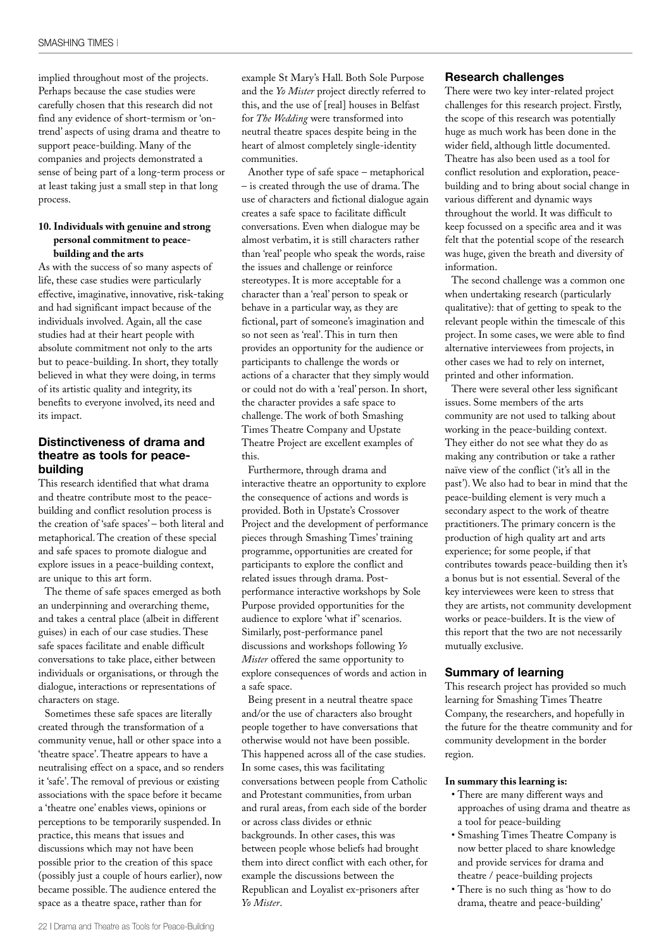implied throughout most of the projects. Perhaps because the case studies were carefully chosen that this research did not find any evidence of short-termism or 'ontrend' aspects of using drama and theatre to support peace-building. Many of the companies and projects demonstrated a sense of being part of a long-term process or at least taking just a small step in that long process.

#### **10. Individuals with genuine and strong personal commitment to peacebuilding and the arts**

As with the success of so many aspects of life, these case studies were particularly effective, imaginative, innovative, risk-taking and had significant impact because of the individuals involved. Again, all the case studies had at their heart people with absolute commitment not only to the arts but to peace-building. In short, they totally believed in what they were doing, in terms of its artistic quality and integrity, its benefits to everyone involved, its need and its impact.

#### **Distinctiveness of drama and theatre as tools for peacebuilding**

This research identified that what drama and theatre contribute most to the peacebuilding and conflict resolution process is the creation of 'safe spaces' – both literal and metaphorical. The creation of these special and safe spaces to promote dialogue and explore issues in a peace-building context, are unique to this art form.

The theme of safe spaces emerged as both an underpinning and overarching theme, and takes a central place (albeit in different guises) in each of our case studies. These safe spaces facilitate and enable difficult conversations to take place, either between individuals or organisations, or through the dialogue, interactions or representations of characters on stage.

Sometimes these safe spaces are literally created through the transformation of a community venue, hall or other space into a 'theatre space'. Theatre appears to have a neutralising effect on a space, and so renders it 'safe'. The removal of previous or existing associations with the space before it became a 'theatre one' enables views, opinions or perceptions to be temporarily suspended. In practice, this means that issues and discussions which may not have been possible prior to the creation of this space (possibly just a couple of hours earlier), now became possible. The audience entered the space as a theatre space, rather than for

example St Mary's Hall. Both Sole Purpose and the *Yo Mister* project directly referred to this, and the use of [real] houses in Belfast for *The Wedding* were transformed into neutral theatre spaces despite being in the heart of almost completely single-identity communities.

Another type of safe space – metaphorical – is created through the use of drama. The use of characters and fictional dialogue again creates a safe space to facilitate difficult conversations. Even when dialogue may be almost verbatim, it is still characters rather than 'real' people who speak the words, raise the issues and challenge or reinforce stereotypes. It is more acceptable for a character than a 'real' person to speak or behave in a particular way, as they are fictional, part of someone's imagination and so not seen as 'real'. This in turn then provides an opportunity for the audience or participants to challenge the words or actions of a character that they simply would or could not do with a 'real' person. In short, the character provides a safe space to challenge. The work of both Smashing Times Theatre Company and Upstate Theatre Project are excellent examples of this.

Furthermore, through drama and interactive theatre an opportunity to explore the consequence of actions and words is provided. Both in Upstate's Crossover Project and the development of performance pieces through Smashing Times' training programme, opportunities are created for participants to explore the conflict and related issues through drama. Postperformance interactive workshops by Sole Purpose provided opportunities for the audience to explore 'what if' scenarios. Similarly, post-performance panel discussions and workshops following *Yo Mister* offered the same opportunity to explore consequences of words and action in a safe space.

Being present in a neutral theatre space and/or the use of characters also brought people together to have conversations that otherwise would not have been possible. This happened across all of the case studies. In some cases, this was facilitating conversations between people from Catholic and Protestant communities, from urban and rural areas, from each side of the border or across class divides or ethnic backgrounds. In other cases, this was between people whose beliefs had brought them into direct conflict with each other, for example the discussions between the Republican and Loyalist ex-prisoners after *Yo Mister*.

#### **Research challenges**

There were two key inter-related project challenges for this research project. Firstly, the scope of this research was potentially huge as much work has been done in the wider field, although little documented. Theatre has also been used as a tool for conflict resolution and exploration, peacebuilding and to bring about social change in various different and dynamic ways throughout the world. It was difficult to keep focussed on a specific area and it was felt that the potential scope of the research was huge, given the breath and diversity of information.

The second challenge was a common one when undertaking research (particularly qualitative): that of getting to speak to the relevant people within the timescale of this project. In some cases, we were able to find alternative interviewees from projects, in other cases we had to rely on internet, printed and other information.

There were several other less significant issues. Some members of the arts community are not used to talking about working in the peace-building context. They either do not see what they do as making any contribution or take a rather naïve view of the conflict ('it's all in the past'). We also had to bear in mind that the peace-building element is very much a secondary aspect to the work of theatre practitioners. The primary concern is the production of high quality art and arts experience; for some people, if that contributes towards peace-building then it's a bonus but is not essential. Several of the key interviewees were keen to stress that they are artists, not community development works or peace-builders. It is the view of this report that the two are not necessarily mutually exclusive.

#### **Summary of learning**

This research project has provided so much learning for Smashing Times Theatre Company, the researchers, and hopefully in the future for the theatre community and for community development in the border region.

#### **In summary this learning is:**

- There are many different ways and approaches of using drama and theatre as a tool for peace-building
- Smashing Times Theatre Company is now better placed to share knowledge and provide services for drama and theatre / peace-building projects
- There is no such thing as 'how to do drama, theatre and peace-building'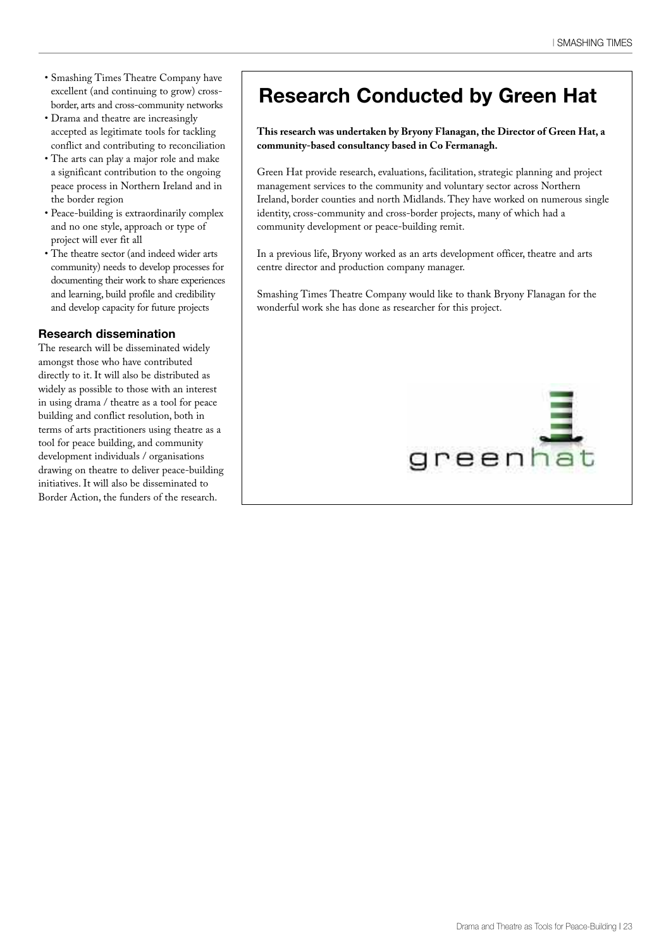- Smashing Times Theatre Company have excellent (and continuing to grow) crossborder, arts and cross-community networks
- Drama and theatre are increasingly accepted as legitimate tools for tackling conflict and contributing to reconciliation
- The arts can play a major role and make a significant contribution to the ongoing peace process in Northern Ireland and in the border region
- Peace-building is extraordinarily complex and no one style, approach or type of project will ever fit all
- The theatre sector (and indeed wider arts community) needs to develop processes for documenting their work to share experiences and learning, build profile and credibility and develop capacity for future projects

#### **Research dissemination**

The research will be disseminated widely amongst those who have contributed directly to it. It will also be distributed as widely as possible to those with an interest in using drama / theatre as a tool for peace building and conflict resolution, both in terms of arts practitioners using theatre as a tool for peace building, and community development individuals / organisations drawing on theatre to deliver peace-building initiatives. It will also be disseminated to Border Action, the funders of the research.

### **Research Conducted by Green Hat**

#### **This research was undertaken by Bryony Flanagan, the Director of Green Hat, a community-based consultancy based in Co Fermanagh.**

Green Hat provide research, evaluations, facilitation, strategic planning and project management services to the community and voluntary sector across Northern Ireland, border counties and north Midlands. They have worked on numerous single identity, cross-community and cross-border projects, many of which had a community development or peace-building remit.

In a previous life, Bryony worked as an arts development officer, theatre and arts centre director and production company manager.

Smashing Times Theatre Company would like to thank Bryony Flanagan for the wonderful work she has done as researcher for this project.

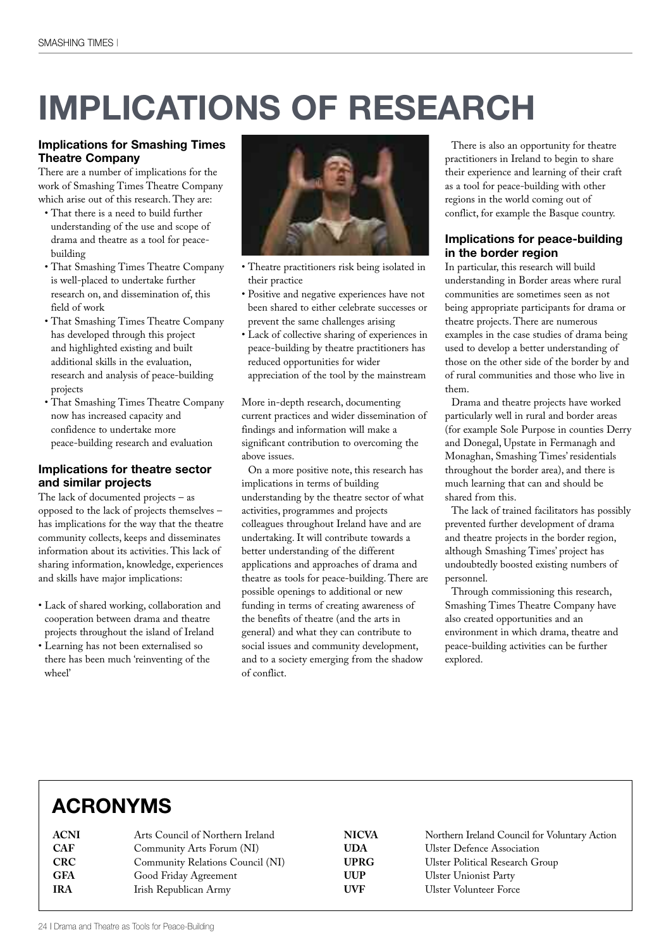# **IMPLICATIONS OF RESEARCH**

#### **Implications for Smashing Times Theatre Company**

There are a number of implications for the work of Smashing Times Theatre Company which arise out of this research. They are:

- That there is a need to build further understanding of the use and scope of drama and theatre as a tool for peacebuilding
- That Smashing Times Theatre Company is well-placed to undertake further research on, and dissemination of, this field of work
- That Smashing Times Theatre Company has developed through this project and highlighted existing and built additional skills in the evaluation, research and analysis of peace-building projects
- That Smashing Times Theatre Company now has increased capacity and confidence to undertake more peace-building research and evaluation

#### **Implications for theatre sector and similar projects**

The lack of documented projects – as opposed to the lack of projects themselves – has implications for the way that the theatre community collects, keeps and disseminates information about its activities. This lack of sharing information, knowledge, experiences and skills have major implications:

- Lack of shared working, collaboration and cooperation between drama and theatre projects throughout the island of Ireland
- Learning has not been externalised so there has been much 'reinventing of the wheel'



- Theatre practitioners risk being isolated in their practice
- Positive and negative experiences have not been shared to either celebrate successes or prevent the same challenges arising
- Lack of collective sharing of experiences in peace-building by theatre practitioners has reduced opportunities for wider appreciation of the tool by the mainstream

More in-depth research, documenting current practices and wider dissemination of findings and information will make a significant contribution to overcoming the above issues.

On a more positive note, this research has implications in terms of building understanding by the theatre sector of what activities, programmes and projects colleagues throughout Ireland have and are undertaking. It will contribute towards a better understanding of the different applications and approaches of drama and theatre as tools for peace-building. There are possible openings to additional or new funding in terms of creating awareness of the benefits of theatre (and the arts in general) and what they can contribute to social issues and community development, and to a society emerging from the shadow of conflict.

There is also an opportunity for theatre practitioners in Ireland to begin to share their experience and learning of their craft as a tool for peace-building with other regions in the world coming out of conflict, for example the Basque country.

#### **Implications for peace-building in the border region**

In particular, this research will build understanding in Border areas where rural communities are sometimes seen as not being appropriate participants for drama or theatre projects. There are numerous examples in the case studies of drama being used to develop a better understanding of those on the other side of the border by and of rural communities and those who live in them.

Drama and theatre projects have worked particularly well in rural and border areas (for example Sole Purpose in counties Derry and Donegal, Upstate in Fermanagh and Monaghan, Smashing Times' residentials throughout the border area), and there is much learning that can and should be shared from this.

The lack of trained facilitators has possibly prevented further development of drama and theatre projects in the border region, although Smashing Times' project has undoubtedly boosted existing numbers of personnel.

Through commissioning this research, Smashing Times Theatre Company have also created opportunities and an environment in which drama, theatre and peace-building activities can be further explored.

### **ACRONYMS**

| ACNI       | Arts Council of Northern Ireland |
|------------|----------------------------------|
| <b>CAF</b> | Community Arts Forum (NI)        |
| <b>CRC</b> | Community Relations Council (NI) |
| <b>GFA</b> | Good Friday Agreement            |
| <b>IRA</b> | Irish Republican Army            |
|            |                                  |

**NICVA** Northern Ireland Council for Voluntary Action **UDA** Ulster Defence Association **UPRG** Ulster Political Research Group **UUP** Ulster Unionist Party **UVF** Ulster Volunteer Force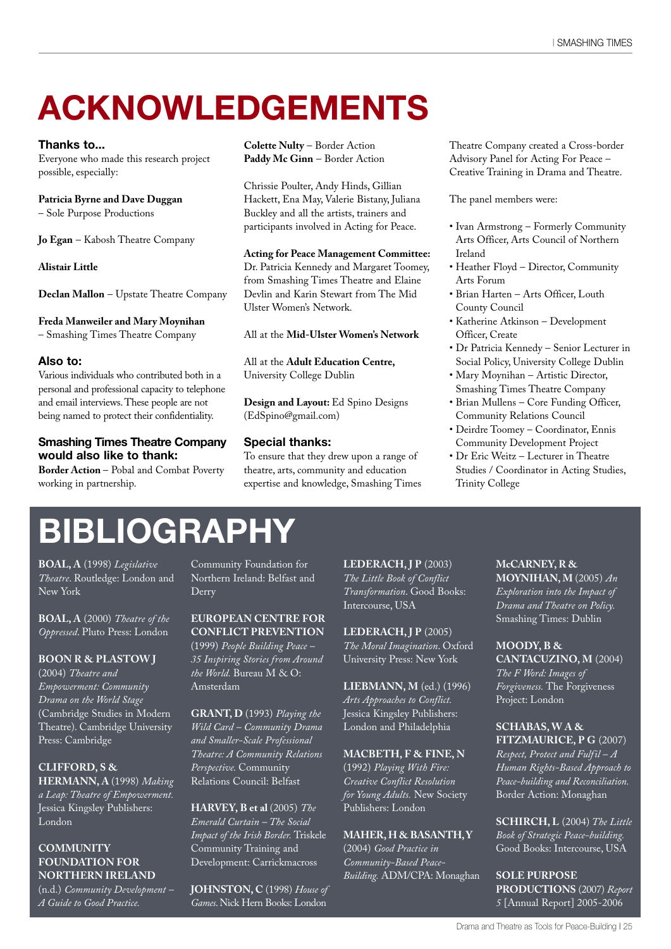### **ACKNOWLEDGEMENTS**

#### **Thanks to...**

Everyone who made this research project possible, especially:

#### **Patricia Byrne and Dave Duggan**

– Sole Purpose Productions

**Jo Egan** – Kabosh Theatre Company

**Alistair Little**

**Declan Mallon** – Upstate Theatre Company

**Freda Manweiler and Mary Moynihan**

– Smashing Times Theatre Company

#### **Also to:**

Various individuals who contributed both in a personal and professional capacity to telephone and email interviews.These people are not being named to protect their confidentiality.

#### **Smashing Times Theatre Company would also like to thank:**

**Border Action** – Pobal and Combat Poverty working in partnership.

**Colette Nulty** – Border Action **Paddy Mc Ginn** – Border Action

Chrissie Poulter, Andy Hinds, Gillian Hackett, Ena May, Valerie Bistany, Juliana Buckley and all the artists, trainers and participants involved in Acting for Peace.

#### **Acting for Peace Management Committee:**

Dr. Patricia Kennedy and Margaret Toomey, from Smashing Times Theatre and Elaine Devlin and Karin Stewart from The Mid Ulster Women's Network.

All at the **Mid-Ulster Women's Network**

All at the **Adult Education Centre,** University College Dublin

**Design and Layout:** Ed Spino Designs (EdSpino@gmail.com)

#### **Special thanks:**

To ensure that they drew upon a range of theatre, arts, community and education expertise and knowledge, Smashing Times Theatre Company created a Cross-border Advisory Panel for Acting For Peace – Creative Training in Drama and Theatre.

The panel members were:

- Ivan Armstrong Formerly Community Arts Officer, Arts Council of Northern Ireland
- Heather Floyd Director, Community Arts Forum
- Brian Harten Arts Officer, Louth County Council
- Katherine Atkinson Development Officer, Create
- Dr Patricia Kennedy Senior Lecturer in Social Policy, University College Dublin
- Mary Moynihan Artistic Director, Smashing Times Theatre Company
- Brian Mullens Core Funding Officer, Community Relations Council
- Deirdre Toomey Coordinator, Ennis Community Development Project
- Dr Eric Weitz Lecturer in Theatre Studies / Coordinator in Acting Studies, Trinity College

### **BIBLIOGRAPHY**

**BOAL, A** (1998) *Legislative Theatre*. Routledge: London and New York

**BOAL, A** (2000) *Theatre of the Oppressed*. Pluto Press: London

**BOON R & PLASTOW J** (2004) *Theatre and Empowerment: Community Drama on the World Stage* (Cambridge Studies in Modern Theatre). Cambridge University Press: Cambridge

**CLIFFORD, S & HERMANN, A** (1998) *Making a Leap: Theatre of Empowerment.* Jessica Kingsley Publishers: London

#### **COMMUNITY FOUNDATION FOR NORTHERN IRELAND**

(n.d.) *Community Development – A Guide to Good Practice.*

Community Foundation for Northern Ireland: Belfast and Derry

**EUROPEAN CENTRE FOR CONFLICT PREVENTION** (1999) *People Building Peace – 35 Inspiring Stories from Around the World.* Bureau M & O: Amsterdam

**GRANT, D** (1993) *Playing the Wild Card – Community Drama and Smaller-Scale Professional Theatre: A Community Relations Perspective.* Community Relations Council: Belfast

**HARVEY, B et al** (2005) *The Emerald Curtain – The Social Impact of the Irish Border.* Triskele Community Training and Development: Carrickmacross

**JOHNSTON, C** (1998) *House of Games*.Nick Hern Books: London

**LEDERACH, J P** (2003) *The Little Book of Conflict Transformation*. Good Books: Intercourse, USA

**LEDERACH, J P** (2005) *The Moral Imagination*. Oxford University Press: New York

**LIEBMANN, M** (ed.) (1996) *Arts Approaches to Conflict.* Jessica Kingsley Publishers: London and Philadelphia

**MACBETH, F & FINE, N** (1992) *Playing With Fire:*

*Creative Conflict Resolution for Young Adults.* New Society Publishers: London

#### **MAHER,H & BASANTH,Y**

(2004) *Good Practice in Community-Based Peace-Building.* ADM/CPA: Monaghan **McCARNEY, R & MOYNIHAN, M** (2005) *An Exploration into the Impact of Drama and Theatre on Policy.* Smashing Times: Dublin

**MOODY, B &**

**CANTACUZINO, M** (2004) *The F Word: Images of Forgiveness.* The Forgiveness Project: London

#### **SCHABAS,W A & FITZMAURICE, P G** (2007)

*Respect, Protect and Fulfil – A Human Rights-Based Approach to Peace-building and Reconciliation.* Border Action: Monaghan

**SCHIRCH, L** (2004) *The Little Book of Strategic Peace-building.* Good Books: Intercourse, USA

**SOLE PURPOSE PRODUCTIONS** (2007) *Report 5* [Annual Report] 2005-2006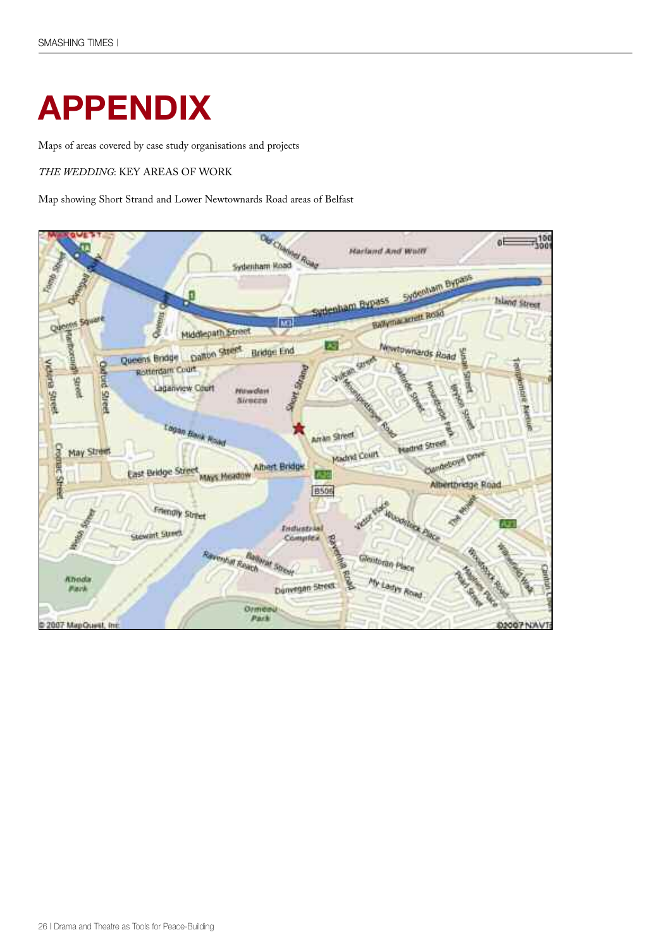### **APPENDIX**

Maps of areas covered by case study organisations and projects

*THE WEDDING*: KEY AREAS OF WORK

Map showing Short Strand and Lower Newtownards Road areas of Belfast

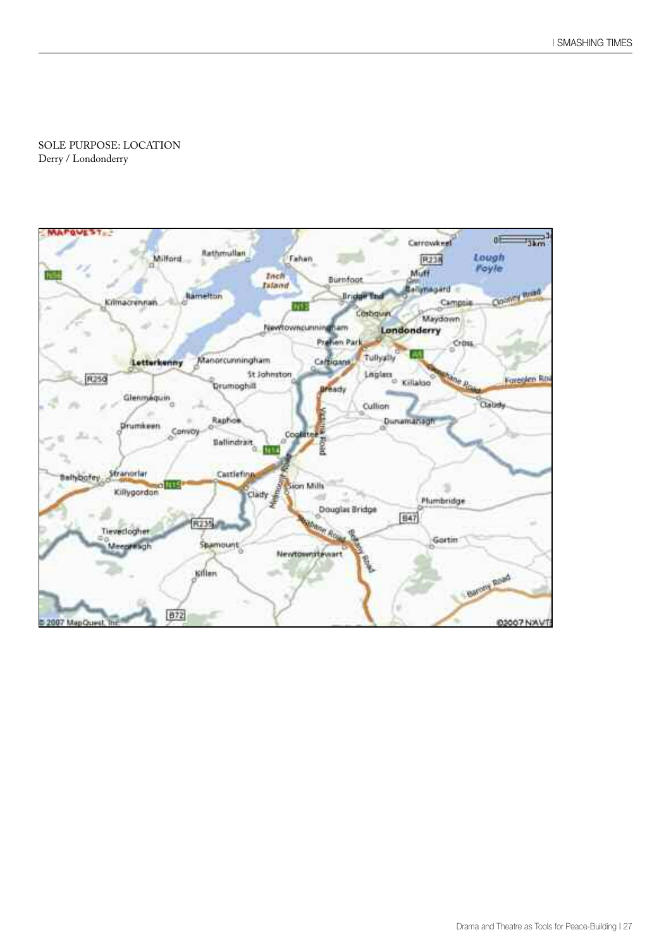SOLE PURPOSE: LOCATION Derry / Londonderry

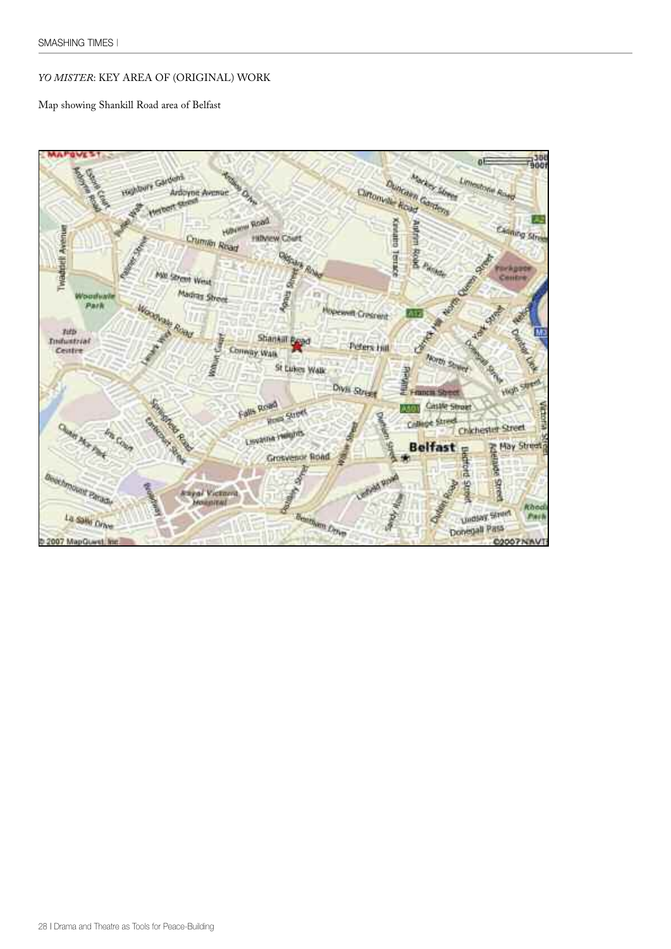#### *YO MISTER*: KEY AREA OF (ORIGINAL) WORK

Map showing Shankill Road area of Belfast

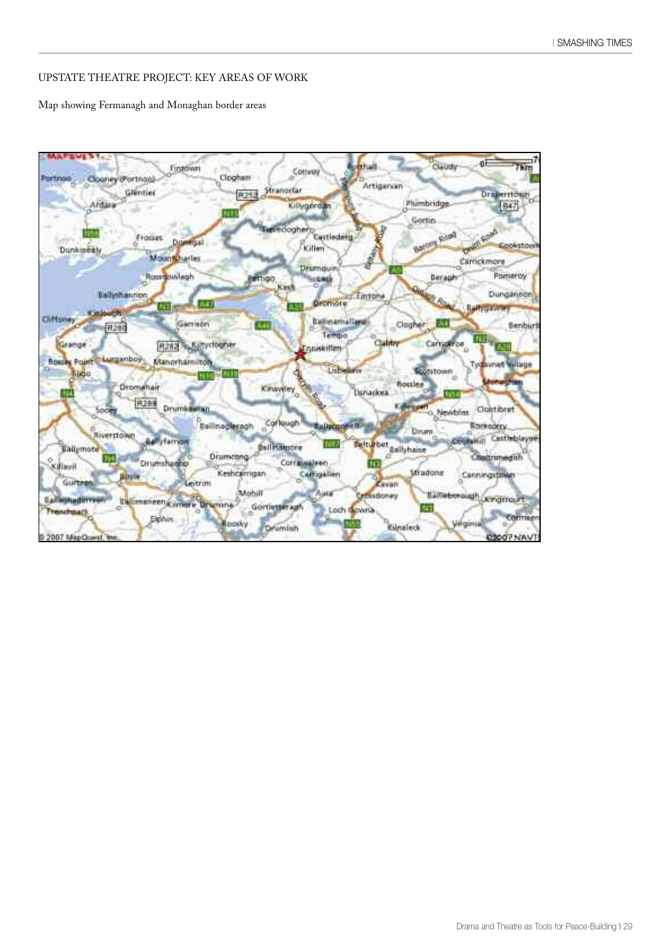#### UPSTATE THEATRE PROJECT: KEY AREAS OF WORK

Map showing Fermanagh and Monaghan border areas

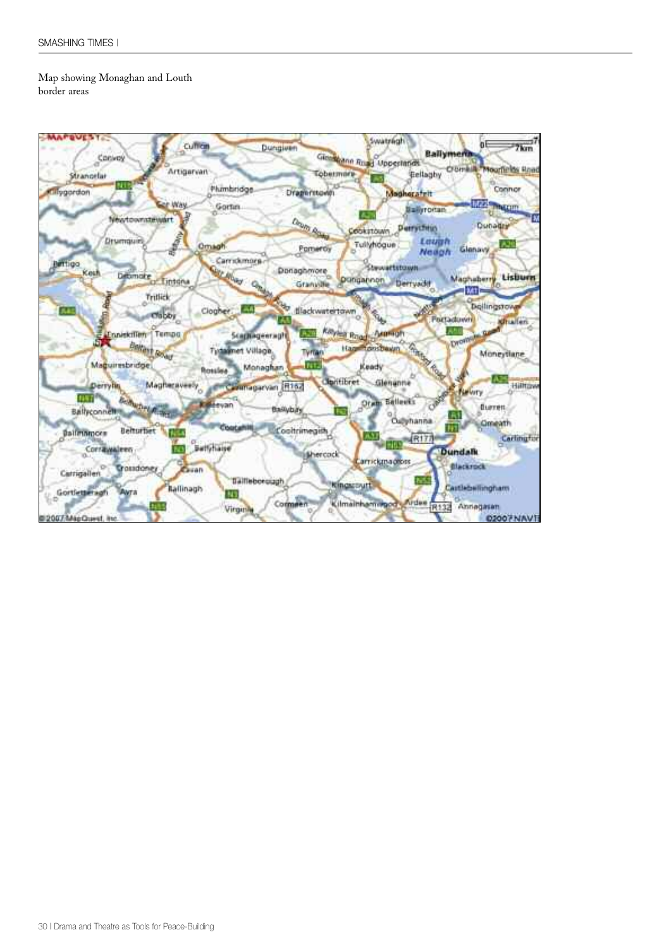#### Map showing Monaghan and Louth border areas

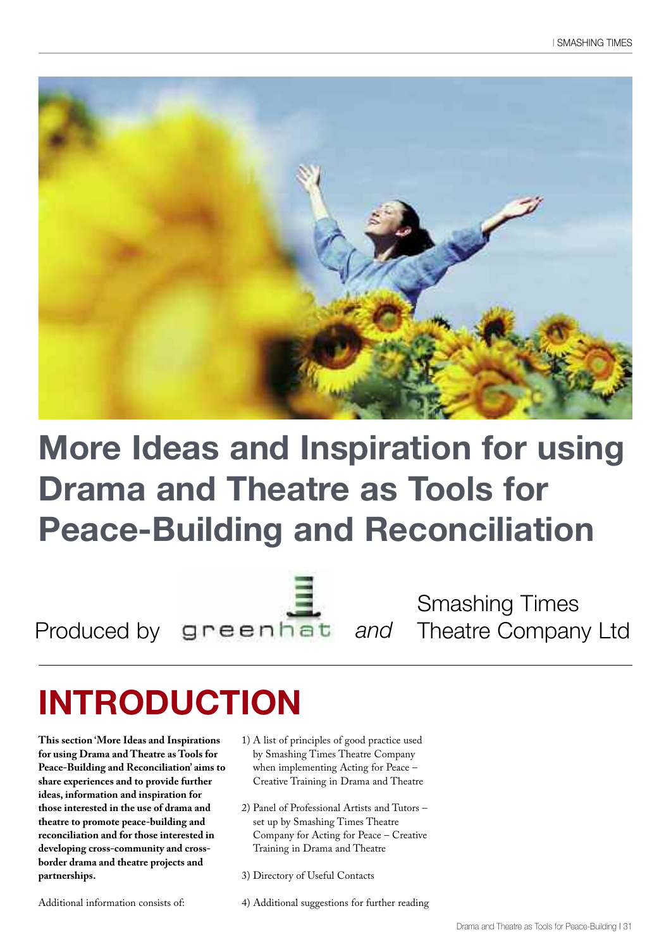

### **More Ideas and Inspiration for using Drama and Theatre as Tools for Peace-Building and Reconciliation**

Produced by greenhat and Theatre Company Ltd Smashing Times

# **INTRODUCTION**

**This section 'More Ideas and Inspirations for using Drama and Theatre as Tools for Peace-Building and Reconciliation' aims to share experiences and to provide further ideas, information and inspiration for those interested in the use of drama and theatre to promote peace-building and reconciliation and for those interested in developing cross-community and crossborder drama and theatre projects and partnerships.**

Additional information consists of:

- 1) A list of principles of good practice used by Smashing Times Theatre Company when implementing Acting for Peace – Creative Training in Drama and Theatre
- 2) Panel of Professional Artists and Tutors set up by Smashing Times Theatre Company for Acting for Peace – Creative Training in Drama and Theatre
- 3) Directory of Useful Contacts
- 4) Additional suggestions for further reading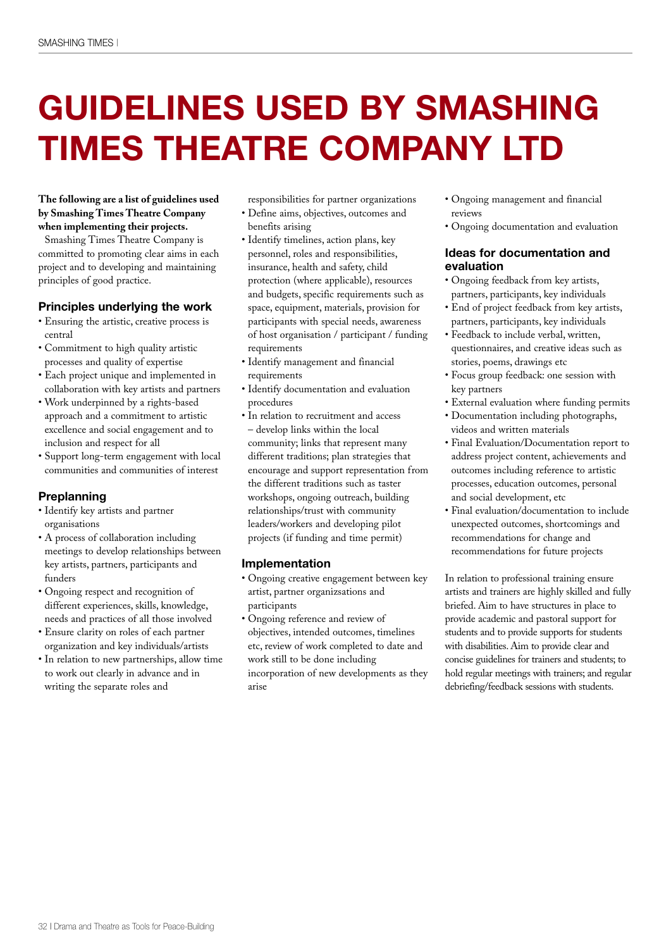## **GUIDELINES USED BY SMASHING TIMES THEATRE COMPANY LTD**

#### **The following are a list of guidelines used by Smashing Times Theatre Company when implementing their projects.**

Smashing Times Theatre Company is committed to promoting clear aims in each project and to developing and maintaining principles of good practice.

#### **Principles underlying the work**

- Ensuring the artistic, creative process is central
- Commitment to high quality artistic processes and quality of expertise
- Each project unique and implemented in collaboration with key artists and partners
- Work underpinned by a rights-based approach and a commitment to artistic excellence and social engagement and to inclusion and respect for all
- Support long-term engagement with local communities and communities of interest

#### **Preplanning**

- Identify key artists and partner organisations
- A process of collaboration including meetings to develop relationships between key artists, partners, participants and funders
- Ongoing respect and recognition of different experiences, skills, knowledge, needs and practices of all those involved
- Ensure clarity on roles of each partner organization and key individuals/artists
- In relation to new partnerships, allow time to work out clearly in advance and in writing the separate roles and

responsibilities for partner organizations • Define aims, objectives, outcomes and

- benefits arising
- Identify timelines, action plans, key personnel, roles and responsibilities, insurance, health and safety, child protection (where applicable), resources and budgets, specific requirements such as space, equipment, materials, provision for participants with special needs, awareness of host organisation / participant / funding requirements
- Identify management and financial requirements
- Identify documentation and evaluation procedures
- In relation to recruitment and access – develop links within the local community; links that represent many different traditions; plan strategies that encourage and support representation from the different traditions such as taster workshops, ongoing outreach, building relationships/trust with community leaders/workers and developing pilot projects (if funding and time permit)

#### **Implementation**

- Ongoing creative engagement between key artist, partner organizsations and participants
- Ongoing reference and review of objectives, intended outcomes, timelines etc, review of work completed to date and work still to be done including incorporation of new developments as they arise
- Ongoing management and financial reviews
- Ongoing documentation and evaluation

#### **Ideas for documentation and evaluation**

- Ongoing feedback from key artists, partners, participants, key individuals
- End of project feedback from key artists, partners, participants, key individuals
- Feedback to include verbal, written, questionnaires, and creative ideas such as stories, poems, drawings etc
- Focus group feedback: one session with key partners
- External evaluation where funding permits
- Documentation including photographs, videos and written materials
- Final Evaluation/Documentation report to address project content, achievements and outcomes including reference to artistic processes, education outcomes, personal and social development, etc
- Final evaluation/documentation to include unexpected outcomes, shortcomings and recommendations for change and recommendations for future projects

In relation to professional training ensure artists and trainers are highly skilled and fully briefed. Aim to have structures in place to provide academic and pastoral support for students and to provide supports for students with disabilities. Aim to provide clear and concise guidelines for trainers and students; to hold regular meetings with trainers; and regular debriefing/feedback sessions with students.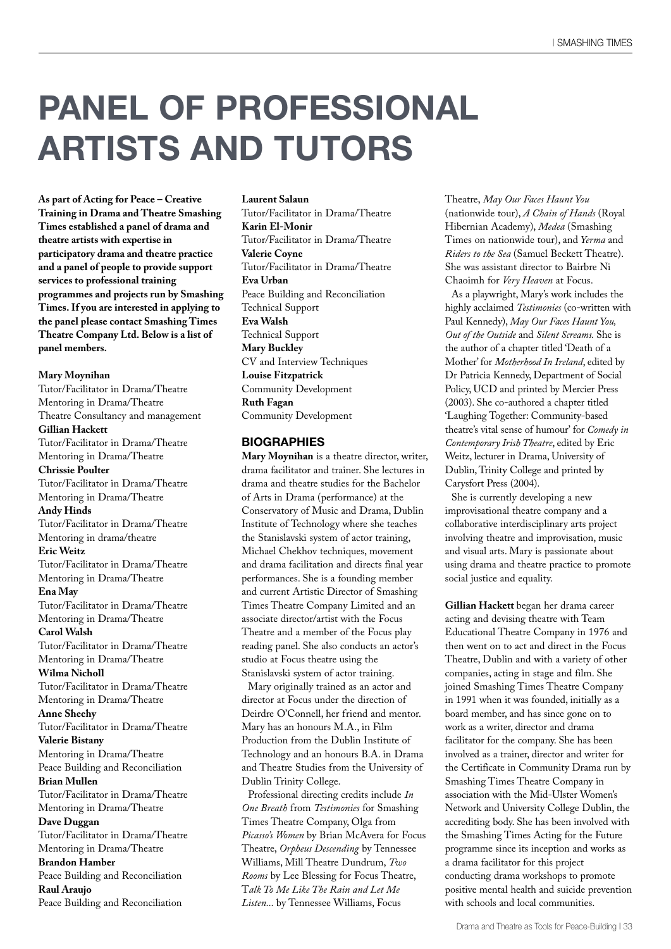### **PANEL OF PROFESSIONAL ARTISTS AND TUTORS**

**As part of Acting for Peace – Creative Training in Drama and Theatre Smashing Times established a panel of drama and theatre artists with expertise in participatory drama and theatre practice and a panel of people to provide support services to professional training programmes and projects run by Smashing Times. If you are interested in applying to the panel please contact Smashing Times Theatre Company Ltd. Below is a list of panel members.**

#### **Mary Moynihan**

Tutor/Facilitator in Drama/Theatre Mentoring in Drama/Theatre Theatre Consultancy and management **Gillian Hackett** Tutor/Facilitator in Drama/Theatre Mentoring in Drama/Theatre **Chrissie Poulter** Tutor/Facilitator in Drama/Theatre Mentoring in Drama/Theatre **Andy Hinds** Tutor/Facilitator in Drama/Theatre Mentoring in drama/theatre **Eric Weitz** Tutor/Facilitator in Drama/Theatre Mentoring in Drama/Theatre **Ena May** Tutor/Facilitator in Drama/Theatre Mentoring in Drama/Theatre **Carol Walsh** Tutor/Facilitator in Drama/Theatre Mentoring in Drama/Theatre **Wilma Nicholl** Tutor/Facilitator in Drama/Theatre Mentoring in Drama/Theatre **Anne Sheehy** Tutor/Facilitator in Drama/Theatre **Valerie Bistany** Mentoring in Drama/Theatre Peace Building and Reconciliation **Brian Mullen** Tutor/Facilitator in Drama/Theatre Mentoring in Drama/Theatre **Dave Duggan** Tutor/Facilitator in Drama/Theatre Mentoring in Drama/Theatre **Brandon Hamber** Peace Building and Reconciliation **Raul Araujo** Peace Building and Reconciliation

#### **Laurent Salaun**

Tutor/Facilitator in Drama/Theatre **Karin El-Monir** Tutor/Facilitator in Drama/Theatre **Valerie Coyne** Tutor/Facilitator in Drama/Theatre **Eva Urban** Peace Building and Reconciliation Technical Support **Eva Walsh** Technical Support **Mary Buckley** CV and Interview Techniques **Louise Fitzpatrick** Community Development **Ruth Fagan** Community Development

#### **BIOGRAPHIES**

**Mary Moynihan** is a theatre director, writer, drama facilitator and trainer. She lectures in drama and theatre studies for the Bachelor of Arts in Drama (performance) at the Conservatory of Music and Drama, Dublin Institute of Technology where she teaches the Stanislavski system of actor training, Michael Chekhov techniques, movement and drama facilitation and directs final year performances. She is a founding member and current Artistic Director of Smashing Times Theatre Company Limited and an associate director/artist with the Focus Theatre and a member of the Focus play reading panel. She also conducts an actor's studio at Focus theatre using the Stanislavski system of actor training.

Mary originally trained as an actor and director at Focus under the direction of Deirdre O'Connell, her friend and mentor. Mary has an honours M.A., in Film Production from the Dublin Institute of Technology and an honours B.A. in Drama and Theatre Studies from the University of Dublin Trinity College.

Professional directing credits include *In One Breath* from *Testimonies* for Smashing Times Theatre Company, Olga from *Picasso's Women* by Brian McAvera for Focus Theatre, *Orpheus Descending* by Tennessee Williams, Mill Theatre Dundrum, *Two Rooms* by Lee Blessing for Focus Theatre, T*alk To Me Like The Rain and Let Me Listen...* by Tennessee Williams, Focus

Theatre, *May Our Faces Haunt You* (nationwide tour), *A Chain of Hands* (Royal Hibernian Academy), *Medea* (Smashing Times on nationwide tour), and *Yerma* and *Riders to the Sea* (Samuel Beckett Theatre). She was assistant director to Bairbre Ni Chaoimh for *Very Heaven* at Focus.

As a playwright, Mary's work includes the highly acclaimed *Testimonies* (co-written with Paul Kennedy), *May Our Faces Haunt You, Out of the Outside* and *Silent Screams.* She is the author of a chapter titled 'Death of a Mother' for *Motherhood In Ireland*, edited by Dr Patricia Kennedy, Department of Social Policy, UCD and printed by Mercier Press (2003). She co-authored a chapter titled 'Laughing Together: Community-based theatre's vital sense of humour' for *Comedy in Contemporary Irish Theatre*, edited by Eric Weitz, lecturer in Drama, University of Dublin, Trinity College and printed by Carysfort Press (2004).

She is currently developing a new improvisational theatre company and a collaborative interdisciplinary arts project involving theatre and improvisation, music and visual arts. Mary is passionate about using drama and theatre practice to promote social justice and equality.

**Gillian Hackett** began her drama career acting and devising theatre with Team Educational Theatre Company in 1976 and then went on to act and direct in the Focus Theatre, Dublin and with a variety of other companies, acting in stage and film. She joined Smashing Times Theatre Company in 1991 when it was founded, initially as a board member, and has since gone on to work as a writer, director and drama facilitator for the company. She has been involved as a trainer, director and writer for the Certificate in Community Drama run by Smashing Times Theatre Company in association with the Mid-Ulster Women's Network and University College Dublin, the accrediting body. She has been involved with the Smashing Times Acting for the Future programme since its inception and works as a drama facilitator for this project conducting drama workshops to promote positive mental health and suicide prevention with schools and local communities.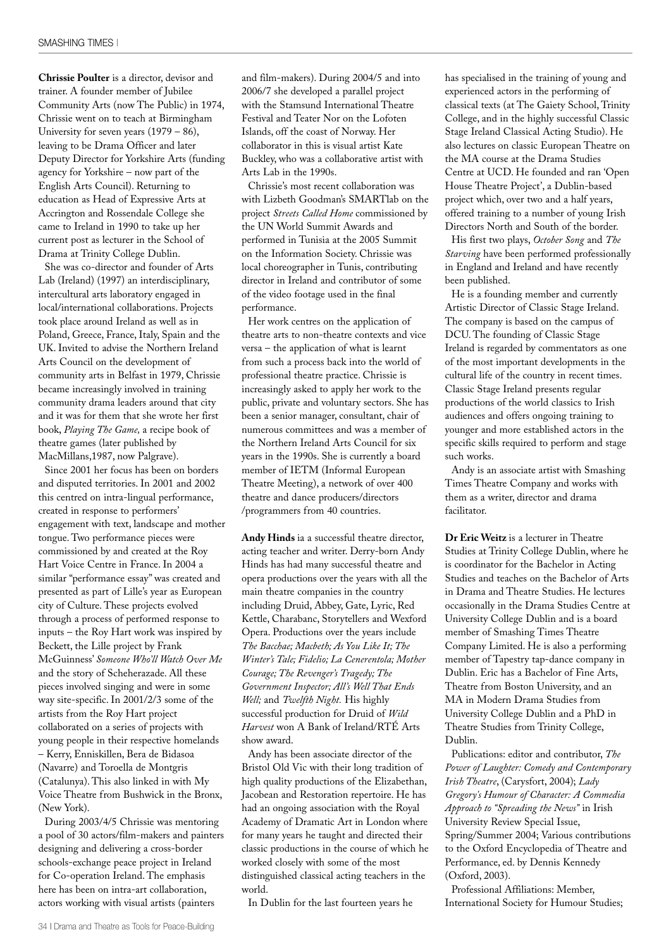**Chrissie Poulter** is a director, devisor and trainer. A founder member of Jubilee Community Arts (now The Public) in 1974, Chrissie went on to teach at Birmingham University for seven years  $(1979 - 86)$ , leaving to be Drama Officer and later Deputy Director for Yorkshire Arts (funding agency for Yorkshire – now part of the English Arts Council). Returning to education as Head of Expressive Arts at Accrington and Rossendale College she came to Ireland in 1990 to take up her current post as lecturer in the School of Drama at Trinity College Dublin.

She was co-director and founder of Arts Lab (Ireland) (1997) an interdisciplinary, intercultural arts laboratory engaged in local/international collaborations. Projects took place around Ireland as well as in Poland, Greece, France, Italy, Spain and the UK. Invited to advise the Northern Ireland Arts Council on the development of community arts in Belfast in 1979, Chrissie became increasingly involved in training community drama leaders around that city and it was for them that she wrote her first book, *Playing The Game,* a recipe book of theatre games (later published by MacMillans,1987, now Palgrave).

Since 2001 her focus has been on borders and disputed territories. In 2001 and 2002 this centred on intra-lingual performance, created in response to performers' engagement with text, landscape and mother tongue. Two performance pieces were commissioned by and created at the Roy Hart Voice Centre in France. In 2004 a similar "performance essay" was created and presented as part of Lille's year as European city of Culture. These projects evolved through a process of performed response to inputs – the Roy Hart work was inspired by Beckett, the Lille project by Frank McGuinness' *Someone Who'll Watch Over Me* and the story of Scheherazade. All these pieces involved singing and were in some way site-specific. In 2001/2/3 some of the artists from the Roy Hart project collaborated on a series of projects with young people in their respective homelands – Kerry, Enniskillen, Bera de Bidasoa (Navarre) and Toroella de Montgris (Catalunya). This also linked in with My Voice Theatre from Bushwick in the Bronx, (New York).

During 2003/4/5 Chrissie was mentoring a pool of 30 actors/film-makers and painters designing and delivering a cross-border schools-exchange peace project in Ireland for Co-operation Ireland. The emphasis here has been on intra-art collaboration, actors working with visual artists (painters

and film-makers). During 2004/5 and into 2006/7 she developed a parallel project with the Stamsund International Theatre Festival and Teater Nor on the Lofoten Islands, off the coast of Norway. Her collaborator in this is visual artist Kate Buckley, who was a collaborative artist with Arts Lab in the 1990s.

Chrissie's most recent collaboration was with Lizbeth Goodman's SMARTlab on the project *Streets Called Home* commissioned by the UN World Summit Awards and performed in Tunisia at the 2005 Summit on the Information Society. Chrissie was local choreographer in Tunis, contributing director in Ireland and contributor of some of the video footage used in the final performance.

Her work centres on the application of theatre arts to non-theatre contexts and vice versa – the application of what is learnt from such a process back into the world of professional theatre practice. Chrissie is increasingly asked to apply her work to the public, private and voluntary sectors. She has been a senior manager, consultant, chair of numerous committees and was a member of the Northern Ireland Arts Council for six years in the 1990s. She is currently a board member of IETM (Informal European Theatre Meeting), a network of over 400 theatre and dance producers/directors /programmers from 40 countries.

**Andy Hinds** ia a successful theatre director, acting teacher and writer. Derry-born Andy Hinds has had many successful theatre and opera productions over the years with all the main theatre companies in the country including Druid, Abbey, Gate, Lyric, Red Kettle, Charabanc, Storytellers and Wexford Opera. Productions over the years include *The Bacchae; Macbeth; As You Like It; The Winter's Tale; Fidelio; La Cenerentola; Mother Courage; The Revenger's Tragedy; The Government Inspector; All's Well That Ends Well;* and *Twelfth Night.* His highly successful production for Druid of *Wild Harvest* won A Bank of Ireland/RTÉ Arts show award.

Andy has been associate director of the Bristol Old Vic with their long tradition of high quality productions of the Elizabethan, Jacobean and Restoration repertoire. He has had an ongoing association with the Royal Academy of Dramatic Art in London where for many years he taught and directed their classic productions in the course of which he worked closely with some of the most distinguished classical acting teachers in the world.

In Dublin for the last fourteen years he

has specialised in the training of young and experienced actors in the performing of classical texts (at The Gaiety School, Trinity College, and in the highly successful Classic Stage Ireland Classical Acting Studio). He also lectures on classic European Theatre on the MA course at the Drama Studies Centre at UCD. He founded and ran 'Open House Theatre Project', a Dublin-based project which, over two and a half years, offered training to a number of young Irish Directors North and South of the border.

His first two plays, *October Song* and *The Starving* have been performed professionally in England and Ireland and have recently been published.

He is a founding member and currently Artistic Director of Classic Stage Ireland. The company is based on the campus of DCU. The founding of Classic Stage Ireland is regarded by commentators as one of the most important developments in the cultural life of the country in recent times. Classic Stage Ireland presents regular productions of the world classics to Irish audiences and offers ongoing training to younger and more established actors in the specific skills required to perform and stage such works.

Andy is an associate artist with Smashing Times Theatre Company and works with them as a writer, director and drama facilitator.

**Dr Eric Weitz** is a lecturer in Theatre Studies at Trinity College Dublin, where he is coordinator for the Bachelor in Acting Studies and teaches on the Bachelor of Arts in Drama and Theatre Studies. He lectures occasionally in the Drama Studies Centre at University College Dublin and is a board member of Smashing Times Theatre Company Limited. He is also a performing member of Tapestry tap-dance company in Dublin. Eric has a Bachelor of Fine Arts, Theatre from Boston University, and an MA in Modern Drama Studies from University College Dublin and a PhD in Theatre Studies from Trinity College, Dublin.

Publications: editor and contributor, *The Power of Laughter: Comedy and Contemporary Irish Theatre*, (Carysfort, 2004); *Lady Gregory's Humour of Character: A Commedia Approach to "Spreading the News"* in Irish University Review Special Issue, Spring/Summer 2004; Various contributions to the Oxford Encyclopedia of Theatre and Performance, ed. by Dennis Kennedy (Oxford, 2003).

Professional Affiliations: Member, International Society for Humour Studies;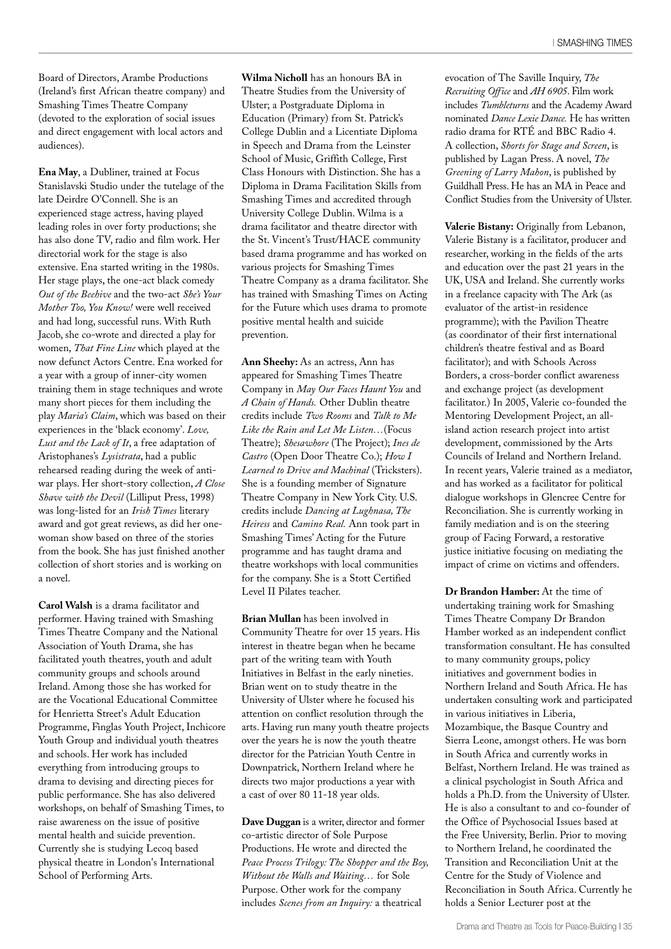Board of Directors, Arambe Productions (Ireland's first African theatre company) and Smashing Times Theatre Company (devoted to the exploration of social issues and direct engagement with local actors and audiences).

**Ena May**, a Dubliner, trained at Focus Stanislavski Studio under the tutelage of the late Deirdre O'Connell. She is an experienced stage actress, having played leading roles in over forty productions; she has also done TV, radio and film work. Her directorial work for the stage is also extensive. Ena started writing in the 1980s. Her stage plays, the one-act black comedy *Out of the Beehive* and the two-act *She's Your Mother Too, You Know!* were well received and had long, successful runs. With Ruth Jacob, she co-wrote and directed a play for women, *That Fine Line* which played at the now defunct Actors Centre. Ena worked for a year with a group of inner-city women training them in stage techniques and wrote many short pieces for them including the play *Maria's Claim*, which was based on their experiences in the 'black economy'. *Love, Lust and the Lack of It*, a free adaptation of Aristophanes's *Lysistrata*, had a public rehearsed reading during the week of antiwar plays. Her short-story collection, *A Close Shave with the Devil* (Lilliput Press, 1998) was long-listed for an *Irish Times* literary award and got great reviews, as did her onewoman show based on three of the stories from the book. She has just finished another collection of short stories and is working on a novel.

**Carol Walsh** is a drama facilitator and performer. Having trained with Smashing Times Theatre Company and the National Association of Youth Drama, she has facilitated youth theatres, youth and adult community groups and schools around Ireland. Among those she has worked for are the Vocational Educational Committee for Henrietta Street's Adult Education Programme, Finglas Youth Project, Inchicore Youth Group and individual youth theatres and schools. Her work has included everything from introducing groups to drama to devising and directing pieces for public performance. She has also delivered workshops, on behalf of Smashing Times, to raise awareness on the issue of positive mental health and suicide prevention. Currently she is studying Lecoq based physical theatre in London's International School of Performing Arts.

**Wilma Nicholl** has an honours BA in Theatre Studies from the University of Ulster; a Postgraduate Diploma in Education (Primary) from St. Patrick's College Dublin and a Licentiate Diploma in Speech and Drama from the Leinster School of Music, Griffith College, First Class Honours with Distinction. She has a Diploma in Drama Facilitation Skills from Smashing Times and accredited through University College Dublin. Wilma is a drama facilitator and theatre director with the St. Vincent's Trust/HACE community based drama programme and has worked on various projects for Smashing Times Theatre Company as a drama facilitator. She has trained with Smashing Times on Acting for the Future which uses drama to promote positive mental health and suicide prevention.

**Ann Sheehy:** As an actress, Ann has appeared for Smashing Times Theatre Company in *May Our Faces Haunt You* and *A Chain of Hands.* Other Dublin theatre credits include *Two Rooms* and *Talk to Me Like the Rain and Let Me Listen…*(Focus Theatre); *Shesawhore* (The Project); *Ines de Castro* (Open Door Theatre Co.); *How I Learned to Drive and Machinal* (Tricksters). She is a founding member of Signature Theatre Company in New York City. U.S. credits include *Dancing at Lughnasa, The Heiress* and *Camino Real.* Ann took part in Smashing Times' Acting for the Future programme and has taught drama and theatre workshops with local communities for the company. She is a Stott Certified Level II Pilates teacher.

**Brian Mullan** has been involved in Community Theatre for over 15 years. His interest in theatre began when he became part of the writing team with Youth Initiatives in Belfast in the early nineties. Brian went on to study theatre in the University of Ulster where he focused his attention on conflict resolution through the arts. Having run many youth theatre projects over the years he is now the youth theatre director for the Patrician Youth Centre in Downpatrick, Northern Ireland where he directs two major productions a year with a cast of over 80 11-18 year olds.

**Dave Duggan** is a writer, director and former co-artistic director of Sole Purpose Productions. He wrote and directed the *Peace Process Trilogy: The Shopper and the Boy, Without the Walls and Waiting…* for Sole Purpose. Other work for the company includes *Scenes from an Inquiry:* a theatrical

evocation of The Saville Inquiry, *The Recruiting Office* and *AH 6905*. Film work includes *Tumbleturns* and the Academy Award nominated *Dance Lexie Dance.* He has written radio drama for RTÉ and BBC Radio 4. A collection, *Shorts for Stage and Screen*, is published by Lagan Press. A novel, *The Greening of Larry Mahon*, is published by Guildhall Press. He has an MA in Peace and Conflict Studies from the University of Ulster.

**Valerie Bistany:** Originally from Lebanon, Valerie Bistany is a facilitator, producer and researcher, working in the fields of the arts and education over the past 21 years in the UK, USA and Ireland. She currently works in a freelance capacity with The Ark (as evaluator of the artist-in residence programme); with the Pavilion Theatre (as coordinator of their first international children's theatre festival and as Board facilitator); and with Schools Across Borders, a cross-border conflict awareness and exchange project (as development facilitator.) In 2005, Valerie co-founded the Mentoring Development Project, an allisland action research project into artist development, commissioned by the Arts Councils of Ireland and Northern Ireland. In recent years, Valerie trained as a mediator, and has worked as a facilitator for political dialogue workshops in Glencree Centre for Reconciliation. She is currently working in family mediation and is on the steering group of Facing Forward, a restorative justice initiative focusing on mediating the impact of crime on victims and offenders.

**Dr Brandon Hamber:** At the time of undertaking training work for Smashing Times Theatre Company Dr Brandon Hamber worked as an independent conflict transformation consultant. He has consulted to many community groups, policy initiatives and government bodies in Northern Ireland and South Africa. He has undertaken consulting work and participated in various initiatives in Liberia, Mozambique, the Basque Country and Sierra Leone, amongst others. He was born in South Africa and currently works in Belfast, Northern Ireland. He was trained as a clinical psychologist in South Africa and holds a Ph.D. from the University of Ulster. He is also a consultant to and co-founder of the Office of Psychosocial Issues based at the Free University, Berlin. Prior to moving to Northern Ireland, he coordinated the Transition and Reconciliation Unit at the Centre for the Study of Violence and Reconciliation in South Africa. Currently he holds a Senior Lecturer post at the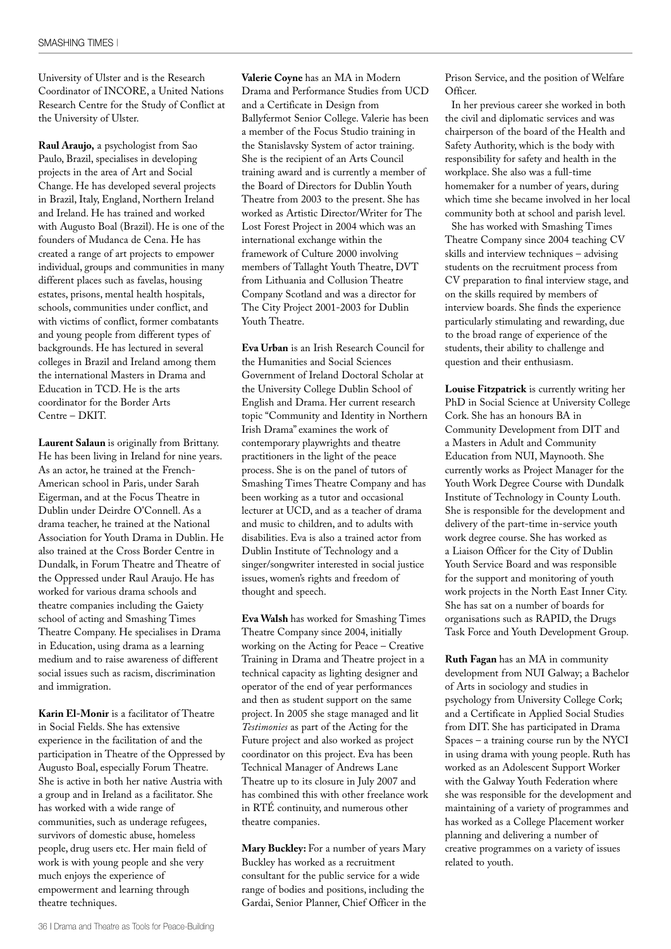University of Ulster and is the Research Coordinator of INCORE, a United Nations Research Centre for the Study of Conflict at the University of Ulster.

**Raul Araujo,** a psychologist from Sao Paulo, Brazil, specialises in developing projects in the area of Art and Social Change. He has developed several projects in Brazil, Italy, England, Northern Ireland and Ireland. He has trained and worked with Augusto Boal (Brazil). He is one of the founders of Mudanca de Cena. He has created a range of art projects to empower individual, groups and communities in many different places such as favelas, housing estates, prisons, mental health hospitals, schools, communities under conflict, and with victims of conflict, former combatants and young people from different types of backgrounds. He has lectured in several colleges in Brazil and Ireland among them the international Masters in Drama and Education in TCD. He is the arts coordinator for the Border Arts Centre – DKIT.

**Laurent Salaun** is originally from Brittany. He has been living in Ireland for nine years. As an actor, he trained at the French-American school in Paris, under Sarah Eigerman, and at the Focus Theatre in Dublin under Deirdre O'Connell. As a drama teacher, he trained at the National Association for Youth Drama in Dublin. He also trained at the Cross Border Centre in Dundalk, in Forum Theatre and Theatre of the Oppressed under Raul Araujo. He has worked for various drama schools and theatre companies including the Gaiety school of acting and Smashing Times Theatre Company. He specialises in Drama in Education, using drama as a learning medium and to raise awareness of different social issues such as racism, discrimination and immigration.

**Karin El-Monir** is a facilitator of Theatre in Social Fields. She has extensive experience in the facilitation of and the participation in Theatre of the Oppressed by Augusto Boal, especially Forum Theatre. She is active in both her native Austria with a group and in Ireland as a facilitator. She has worked with a wide range of communities, such as underage refugees, survivors of domestic abuse, homeless people, drug users etc. Her main field of work is with young people and she very much enjoys the experience of empowerment and learning through theatre techniques.

**Valerie Coyne** has an MA in Modern Drama and Performance Studies from UCD and a Certificate in Design from Ballyfermot Senior College. Valerie has been a member of the Focus Studio training in the Stanislavsky System of actor training. She is the recipient of an Arts Council training award and is currently a member of the Board of Directors for Dublin Youth Theatre from 2003 to the present. She has worked as Artistic Director/Writer for The Lost Forest Project in 2004 which was an international exchange within the framework of Culture 2000 involving members of Tallaght Youth Theatre, DVT from Lithuania and Collusion Theatre Company Scotland and was a director for The City Project 2001-2003 for Dublin Youth Theatre.

**Eva Urban** is an Irish Research Council for the Humanities and Social Sciences Government of Ireland Doctoral Scholar at the University College Dublin School of English and Drama. Her current research topic "Community and Identity in Northern Irish Drama" examines the work of contemporary playwrights and theatre practitioners in the light of the peace process. She is on the panel of tutors of Smashing Times Theatre Company and has been working as a tutor and occasional lecturer at UCD, and as a teacher of drama and music to children, and to adults with disabilities. Eva is also a trained actor from Dublin Institute of Technology and a singer/songwriter interested in social justice issues, women's rights and freedom of thought and speech.

**Eva Walsh** has worked for Smashing Times Theatre Company since 2004, initially working on the Acting for Peace – Creative Training in Drama and Theatre project in a technical capacity as lighting designer and operator of the end of year performances and then as student support on the same project. In 2005 she stage managed and lit *Testimonies* as part of the Acting for the Future project and also worked as project coordinator on this project. Eva has been Technical Manager of Andrews Lane Theatre up to its closure in July 2007 and has combined this with other freelance work in RTÉ continuity, and numerous other theatre companies.

**Mary Buckley:** For a number of years Mary Buckley has worked as a recruitment consultant for the public service for a wide range of bodies and positions, including the Gardai, Senior Planner, Chief Officer in the Prison Service, and the position of Welfare Officer.

In her previous career she worked in both the civil and diplomatic services and was chairperson of the board of the Health and Safety Authority, which is the body with responsibility for safety and health in the workplace. She also was a full-time homemaker for a number of years, during which time she became involved in her local community both at school and parish level.

She has worked with Smashing Times Theatre Company since 2004 teaching CV skills and interview techniques – advising students on the recruitment process from CV preparation to final interview stage, and on the skills required by members of interview boards. She finds the experience particularly stimulating and rewarding, due to the broad range of experience of the students, their ability to challenge and question and their enthusiasm.

**Louise Fitzpatrick** is currently writing her PhD in Social Science at University College Cork. She has an honours BA in Community Development from DIT and a Masters in Adult and Community Education from NUI, Maynooth. She currently works as Project Manager for the Youth Work Degree Course with Dundalk Institute of Technology in County Louth. She is responsible for the development and delivery of the part-time in-service youth work degree course. She has worked as a Liaison Officer for the City of Dublin Youth Service Board and was responsible for the support and monitoring of youth work projects in the North East Inner City. She has sat on a number of boards for organisations such as RAPID, the Drugs Task Force and Youth Development Group.

**Ruth Fagan** has an MA in community development from NUI Galway; a Bachelor of Arts in sociology and studies in psychology from University College Cork; and a Certificate in Applied Social Studies from DIT. She has participated in Drama Spaces – a training course run by the NYCI in using drama with young people. Ruth has worked as an Adolescent Support Worker with the Galway Youth Federation where she was responsible for the development and maintaining of a variety of programmes and has worked as a College Placement worker planning and delivering a number of creative programmes on a variety of issues related to youth.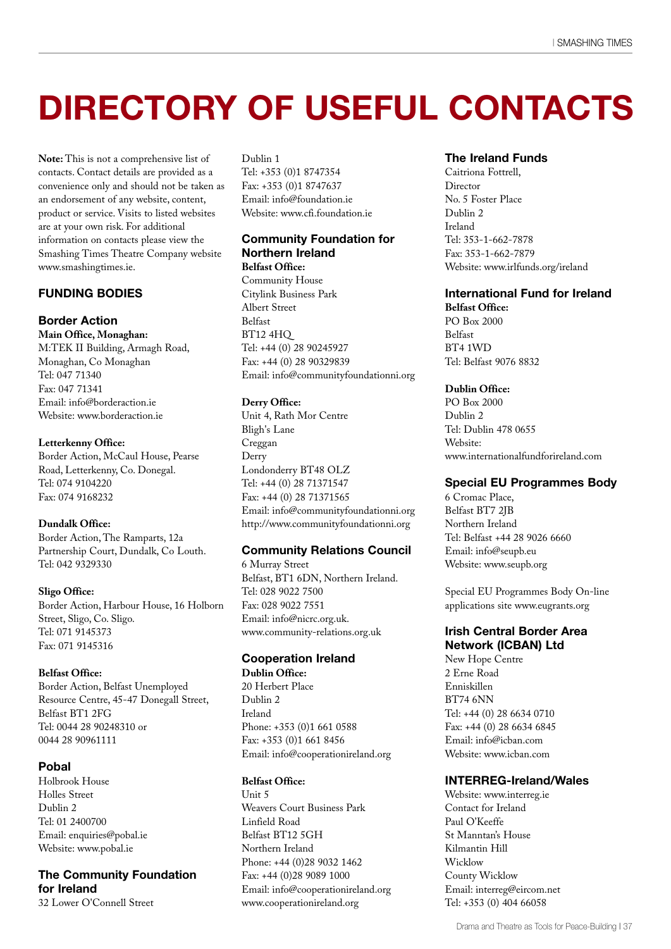### **DIRECTORY OF USEFUL CONTACTS**

**Note:** This is not a comprehensive list of contacts. Contact details are provided as a convenience only and should not be taken as an endorsement of any website, content, product or service. Visits to listed websites are at your own risk. For additional information on contacts please view the Smashing Times Theatre Company website www.smashingtimes.ie.

#### **FUNDING BODIES**

#### **Border Action**

**Main Office, Monaghan:** M:TEK II Building, Armagh Road, Monaghan, Co Monaghan Tel: 047 71340 Fax: 047 71341 Email: info@borderaction.ie Website: www.borderaction.ie

#### **Letterkenny Office:**

Border Action, McCaul House, Pearse Road, Letterkenny, Co. Donegal. Tel: 074 9104220 Fax: 074 9168232

#### **Dundalk Office:**

Border Action, The Ramparts, 12a Partnership Court, Dundalk, Co Louth. Tel: 042 9329330

#### **Sligo Office:**

Border Action, Harbour House, 16 Holborn Street, Sligo, Co. Sligo. Tel: 071 9145373 Fax: 071 9145316

#### **Belfast Office:**

Border Action, Belfast Unemployed Resource Centre, 45-47 Donegall Street, Belfast BT1 2FG Tel: 0044 28 90248310 or 0044 28 90961111

#### **Pobal**

Holbrook House Holles Street Dublin 2 Tel: 01 2400700 Email: enquiries@pobal.ie Website: www.pobal.ie

#### **The Community Foundation for Ireland**

32 Lower O'Connell Street

#### Dublin 1

Tel: +353 (0)1 8747354 Fax: +353 (0)1 8747637 Email: info@foundation.ie Website: www.cfi.foundation.ie

#### **Community Foundation for Northern Ireland Belfast Office:**

Community House Citylink Business Park Albert Street Belfast BT12 4HQ Tel: +44 (0) 28 90245927 Fax: +44 (0) 28 90329839 Email: info@communityfoundationni.org

#### **Derry Office:**

Unit 4, Rath Mor Centre Bligh's Lane Creggan Derry Londonderry BT48 OLZ Tel: +44 (0) 28 71371547 Fax: +44 (0) 28 71371565 Email: info@communityfoundationni.org http://www.communityfoundationni.org

#### **Community Relations Council**

6 Murray Street Belfast, BT1 6DN, Northern Ireland. Tel: 028 9022 7500 Fax: 028 9022 7551 Email: info@nicrc.org.uk. www.community-relations.org.uk

#### **Cooperation Ireland**

**Dublin Office:**

20 Herbert Place Dublin 2 Ireland Phone: +353 (0)1 661 0588 Fax: +353 (0)1 661 8456 Email: info@cooperationireland.org

#### **Belfast Office:**

Unit 5 Weavers Court Business Park Linfield Road Belfast BT12 5GH Northern Ireland Phone: +44 (0)28 9032 1462 Fax: +44 (0)28 9089 1000 Email: info@cooperationireland.org www.cooperationireland.org

#### **The Ireland Funds**

Caitriona Fottrell, Director No. 5 Foster Place Dublin 2 Ireland Tel: 353-1-662-7878 Fax: 353-1-662-7879 Website: www.irlfunds.org/ireland

#### **International Fund for Ireland**

**Belfast Office:** PO Box 2000 Belfast BT4 1WD Tel: Belfast 9076 8832

#### **Dublin Office:**

PO Box 2000 Dublin 2 Tel: Dublin 478 0655 Website: www.internationalfundforireland.com

#### **Special EU Programmes Body**

6 Cromac Place, Belfast BT7 2JB Northern Ireland Tel: Belfast +44 28 9026 6660 Email: info@seupb.eu Website: www.seupb.org

Special EU Programmes Body On-line applications site www.eugrants.org

#### **Irish Central Border Area Network (ICBAN) Ltd**

New Hope Centre 2 Erne Road Enniskillen BT74 6NN Tel: +44 (0) 28 6634 0710 Fax: +44 (0) 28 6634 6845 Email: info@icban.com Website: www.icban.com

#### **INTERREG-Ireland/Wales**

Website: www.interreg.ie Contact for Ireland Paul O'Keeffe St Manntan's House Kilmantin Hill Wicklow County Wicklow Email: interreg@eircom.net Tel: +353 (0) 404 66058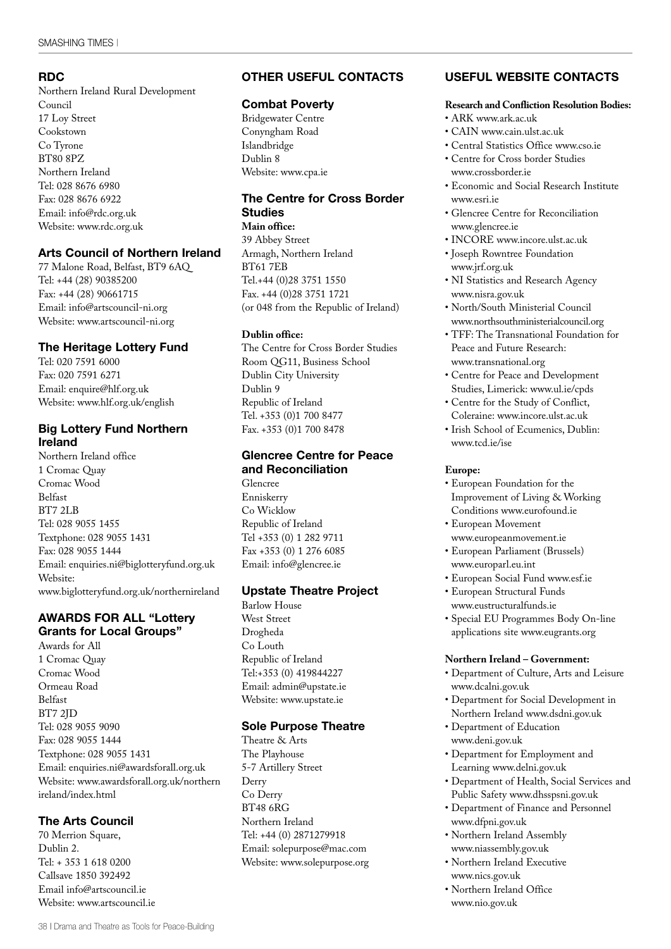#### **RDC**

Northern Ireland Rural Development Council 17 Loy Street Cookstown Co Tyrone BT80 8PZ Northern Ireland Tel: 028 8676 6980 Fax: 028 8676 6922 Email: info@rdc.org.uk Website: www.rdc.org.uk

#### **Arts Council of Northern Ireland**

77 Malone Road, Belfast, BT9 6AQ Tel: +44 (28) 90385200 Fax: +44 (28) 90661715 Email: info@artscouncil-ni.org Website: www.artscouncil-ni.org

#### **The Heritage Lottery Fund**

Tel: 020 7591 6000 Fax: 020 7591 6271 Email: enquire@hlf.org.uk Website: www.hlf.org.uk/english

#### **Big Lottery Fund Northern Ireland**

Northern Ireland office 1 Cromac Quay Cromac Wood Belfast BT7 2LB Tel: 028 9055 1455 Textphone: 028 9055 1431 Fax: 028 9055 1444 Email: enquiries.ni@biglotteryfund.org.uk Website: www.biglotteryfund.org.uk/northernireland

#### **AWARDS FOR ALL "Lottery Grants for Local Groups''**

Awards for All 1 Cromac Quay Cromac Wood Ormeau Road Belfast BT7 2JD Tel: 028 9055 9090 Fax: 028 9055 1444 Textphone: 028 9055 1431 Email: enquiries.ni@awardsforall.org.uk Website: www.awardsforall.org.uk/northern ireland/index.html

#### **The Arts Council**

70 Merrion Square, Dublin 2. Tel: + 353 1 618 0200 Callsave 1850 392492 Email info@artscouncil.ie Website: www.artscouncil.ie

#### **OTHER USEFUL CONTACTS**

#### **Combat Poverty**

Bridgewater Centre Conyngham Road Islandbridge Dublin 8 Website: www.cpa.ie

#### **The Centre for Cross Border Studies**

**Main office:** 39 Abbey Street Armagh, Northern Ireland BT61 7EB Tel.+44 (0)28 3751 1550 Fax. +44 (0)28 3751 1721 (or 048 from the Republic of Ireland)

#### **Dublin office:**

The Centre for Cross Border Studies Room QG11, Business School Dublin City University Dublin 9 Republic of Ireland Tel. +353 (0)1 700 8477 Fax. +353 (0)1 700 8478

#### **Glencree Centre for Peace and Reconciliation**

Glencree Enniskerry Co Wicklow Republic of Ireland Tel +353 (0) 1 282 9711 Fax +353 (0) 1 276 6085 Email: info@glencree.ie

#### **Upstate Theatre Project**

Barlow House West Street Drogheda Co Louth Republic of Ireland Tel:+353 (0) 419844227 Email: admin@upstate.ie Website: www.upstate.ie

#### **Sole Purpose Theatre**

Theatre & Arts The Playhouse 5-7 Artillery Street Derry Co Derry BT48 6RG Northern Ireland Tel: +44 (0) 2871279918 Email: solepurpose@mac.com Website: www.solepurpose.org

#### **USEFUL WEBSITE CONTACTS**

#### **Research and Confliction Resolution Bodies:**

- ARK www.ark.ac.uk
- CAIN www.cain.ulst.ac.uk
- Central Statistics Office www.cso.ie
- Centre for Cross border Studies www.crossborder.ie
- Economic and Social Research Institute www.esri.ie
- Glencree Centre for Reconciliation www.glencree.ie
- INCORE www.incore.ulst.ac.uk
- Joseph Rowntree Foundation www.jrf.org.uk
- NI Statistics and Research Agency www.nisra.gov.uk
- North/South Ministerial Council www.northsouthministerialcouncil.org
- TFF: The Transnational Foundation for Peace and Future Research: www.transnational.org
- Centre for Peace and Development Studies, Limerick: www.ul.ie/cpds
- Centre for the Study of Conflict, Coleraine: www.incore.ulst.ac.uk
- Irish School of Ecumenics, Dublin: www.tcd.ie/ise

#### **Europe:**

- European Foundation for the Improvement of Living & Working Conditions www.eurofound.ie
- European Movement www.europeanmovement.ie
- European Parliament (Brussels) www.europarl.eu.int
- European Social Fund www.esf.ie
- European Structural Funds www.eustructuralfunds.ie
- Special EU Programmes Body On-line applications site www.eugrants.org

#### **Northern Ireland – Government:**

- Department of Culture, Arts and Leisure www.dcalni.gov.uk
- Department for Social Development in
- Northern Ireland www.dsdni.gov.uk • Department of Education www.deni.gov.uk
- Department for Employment and Learning www.delni.gov.uk
- Department of Health, Social Services and Public Safety www.dhsspsni.gov.uk
- Department of Finance and Personnel www.dfpni.gov.uk
- Northern Ireland Assembly www.niassembly.gov.uk
- Northern Ireland Executive www.nics.gov.uk
- Northern Ireland Office www.nio.gov.uk